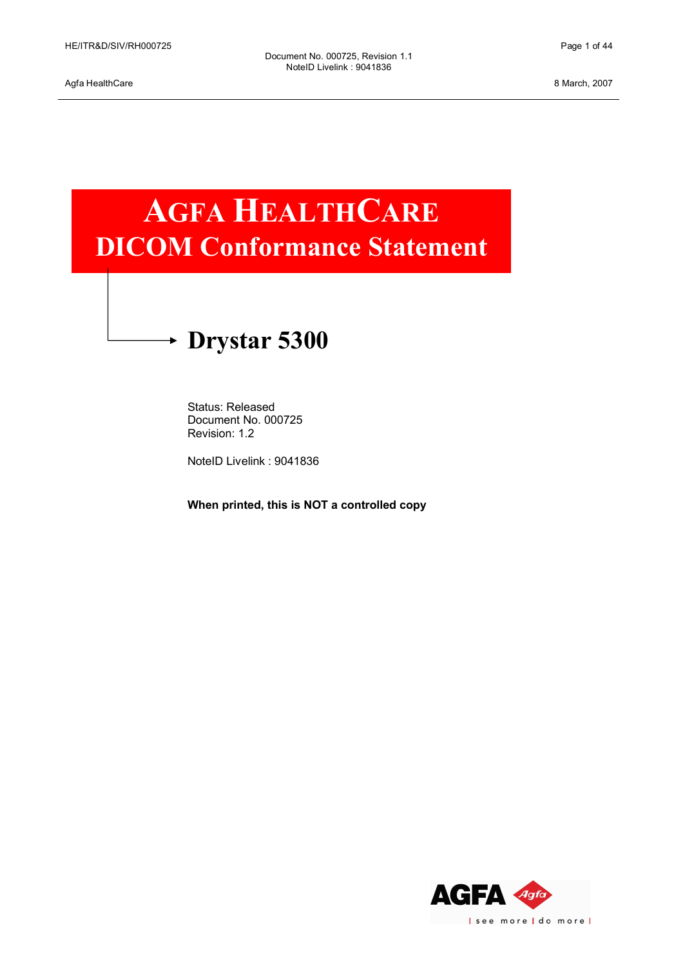# **AGFA HEALTHCARE DICOM Conformance Statement**

# **Drystar 5300**

Status: Released Document No. 000725 Revision: 1.2

NoteID Livelink : 9041836

**When printed, this is NOT a controlled copy**

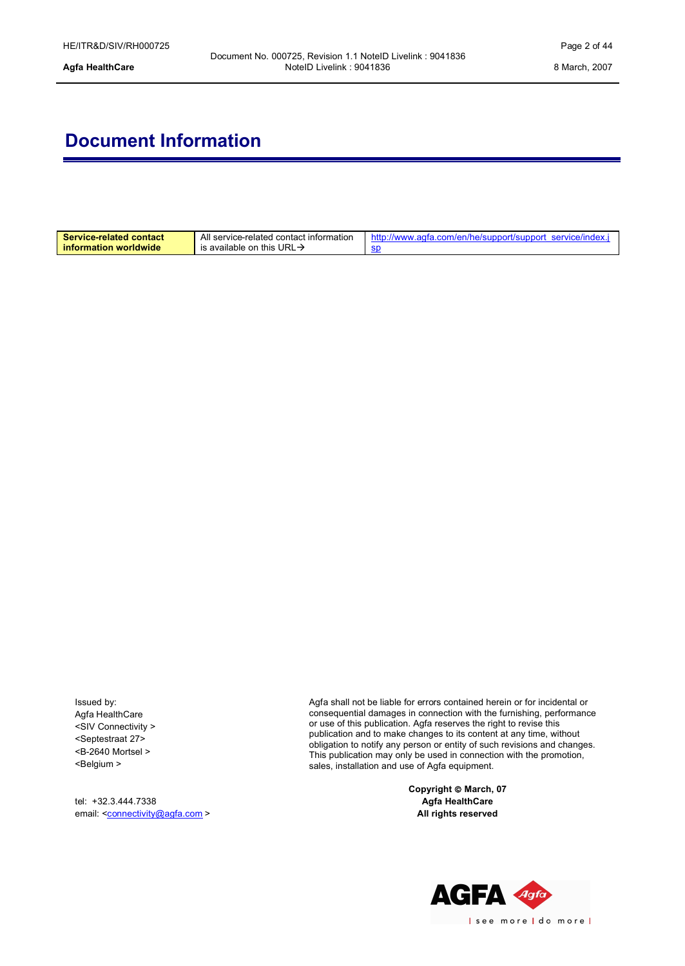# **Document Information**

| <b>Service-related contact</b><br>information worldwide | All service-related contact information<br>is available on this URL $\rightarrow$ | ww.agfa.com/en/he/support/support_service/index.<br>http://wv |
|---------------------------------------------------------|-----------------------------------------------------------------------------------|---------------------------------------------------------------|
|                                                         |                                                                                   |                                                               |

Issued by: Agfa HealthCare <SIV Connectivity > <Septestraat 27> <B-2640 Mortsel > <Belgium >

tel: +3[2.3.444.7338](mailto:connectivity@agfa.com) email: <connectivity@agfa.com > Agfa shall not be liable for errors contained herein or for incidental or consequential damages in connection with the furnishing, performance or use of this publication. Agfa reserves the right to revise this publication and to make changes to its content at any time, without obligation to notify any person or entity of such revisions and changes. This publication may only be used in connection with the promotion, sales, installation and use of Agfa equipment.

> **Copyright** ã **March, 07 Agfa HealthCare All rights reserved**

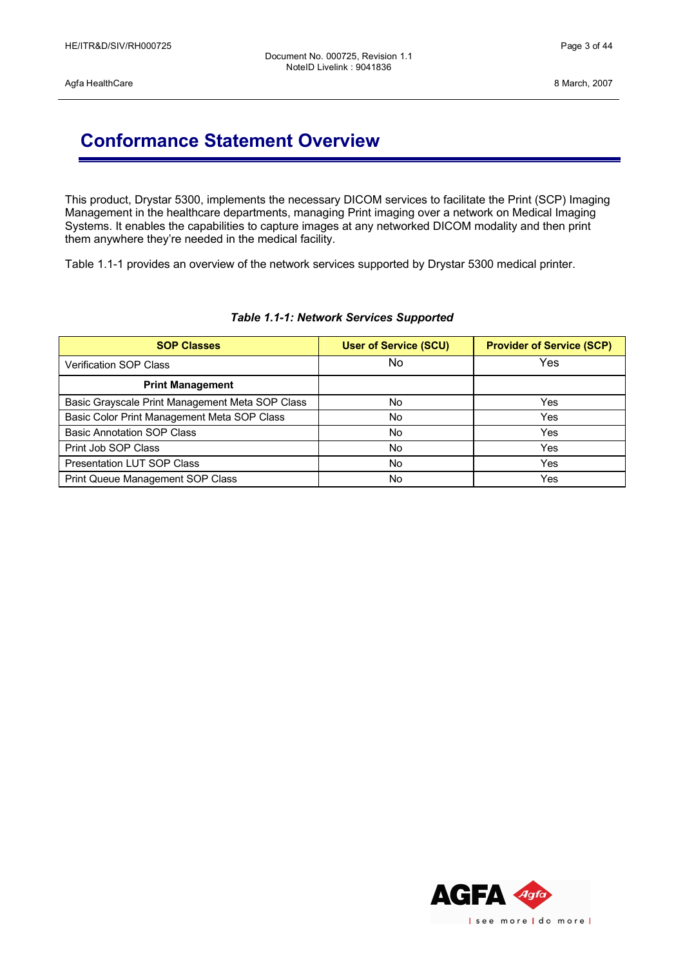## **Conformance Statement Overview**

This product, Drystar 5300, implements the necessary DICOM services to facilitate the Print (SCP) Imaging Management in the healthcare departments, managing Print imaging over a network on Medical Imaging Systems. It enables the capabilities to capture images at any networked DICOM modality and then print them anywhere they're needed in the medical facility.

Table 1.1-1 provides an overview of the network services supported by Drystar 5300 medical printer.

| <b>SOP Classes</b>                              | <b>User of Service (SCU)</b> | <b>Provider of Service (SCP)</b> |
|-------------------------------------------------|------------------------------|----------------------------------|
| <b>Verification SOP Class</b>                   | No                           | Yes                              |
| <b>Print Management</b>                         |                              |                                  |
| Basic Grayscale Print Management Meta SOP Class | No                           | Yes                              |
| Basic Color Print Management Meta SOP Class     | No.                          | Yes                              |
| <b>Basic Annotation SOP Class</b>               | No                           | Yes                              |
| Print Job SOP Class                             | No                           | Yes                              |
| <b>Presentation LUT SOP Class</b>               | No                           | Yes                              |
| Print Queue Management SOP Class                | No                           | Yes                              |

### *Table 1.1-1: Network Services Supported*

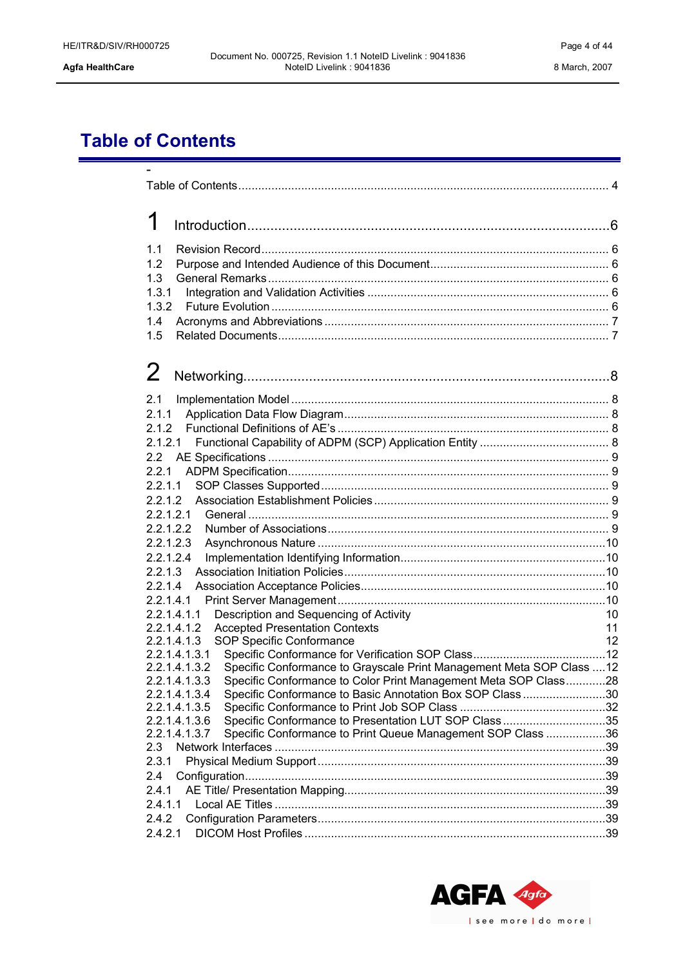# <span id="page-3-0"></span>**Table of Contents**

| 1                                                                                                                                                                       |          |
|-------------------------------------------------------------------------------------------------------------------------------------------------------------------------|----------|
| 1.1                                                                                                                                                                     |          |
| 1.2<br>1.3                                                                                                                                                              |          |
| 1.3.1                                                                                                                                                                   |          |
| 1.3.2<br>1.4                                                                                                                                                            |          |
| 1.5                                                                                                                                                                     |          |
| 2                                                                                                                                                                       |          |
| 2.1                                                                                                                                                                     |          |
| 2.1.1                                                                                                                                                                   |          |
| 2.1.2                                                                                                                                                                   |          |
| 2.1.2.1                                                                                                                                                                 |          |
| 2.2.1                                                                                                                                                                   |          |
| 2.2.1.1                                                                                                                                                                 |          |
| 2.2.1.2<br>2.2.1.2.1                                                                                                                                                    |          |
| 2.2.1.2.2                                                                                                                                                               |          |
| 2.2.1.2.3                                                                                                                                                               |          |
| 2.2.1.2.4                                                                                                                                                               |          |
| 2.2.1.3<br>2.2.1.4                                                                                                                                                      |          |
| 2.2.1.4.1                                                                                                                                                               |          |
| Description and Sequencing of Activity<br>2.2.1.4.1.1                                                                                                                   | 10       |
| <b>Accepted Presentation Contexts</b><br>2.2.1.4.1.2<br>2.2.1.4.1.3<br>SOP Specific Conformance                                                                         | 11<br>12 |
| 2.2.1.4.1.3.1                                                                                                                                                           |          |
| Specific Conformance to Grayscale Print Management Meta SOP Class  12<br>2.2.1.4.1.3.2<br>2.2.1.4.1.3.3 Specific Conformance to Color Print Management Meta SOP Class28 |          |
| Specific Conformance to Basic Annotation Box SOP Class30<br>2.2.1.4.1.3.4                                                                                               |          |
| 2.2.1.4.1.3.5                                                                                                                                                           |          |
| Specific Conformance to Presentation LUT SOP Class35<br>2.2.1.4.1.3.6<br>Specific Conformance to Print Queue Management SOP Class 36<br>2.2.1.4.1.3.7                   |          |
| 2.3                                                                                                                                                                     |          |
| 2.3.1                                                                                                                                                                   |          |
| 2.4<br>2.4.1                                                                                                                                                            |          |
| 2.4.1.1                                                                                                                                                                 |          |
| 2.4.2                                                                                                                                                                   |          |
| 2.4.2.1                                                                                                                                                                 |          |

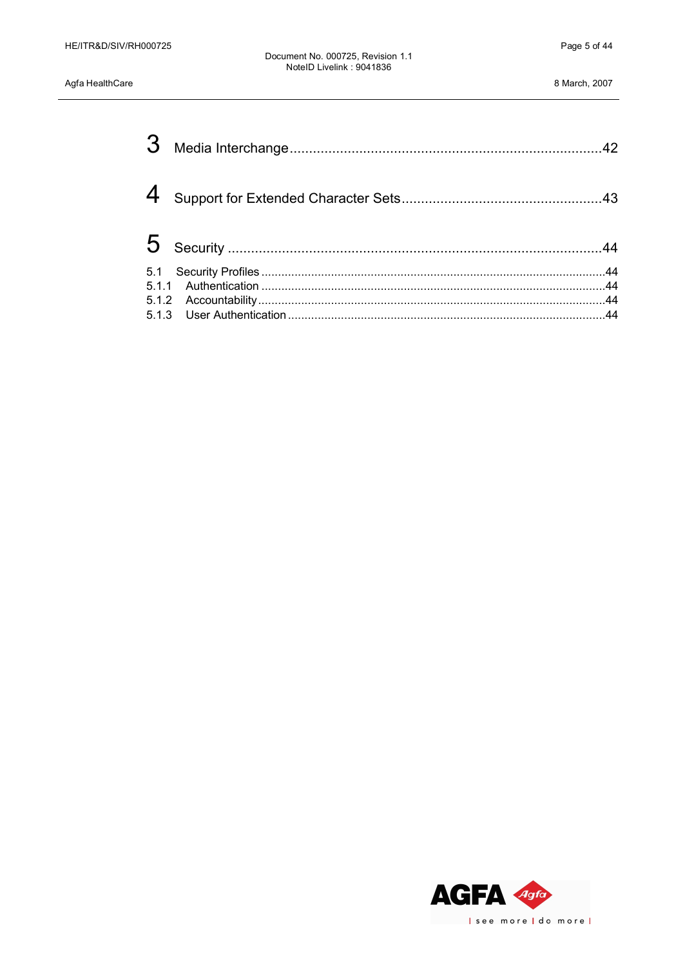Agfa HealthCare

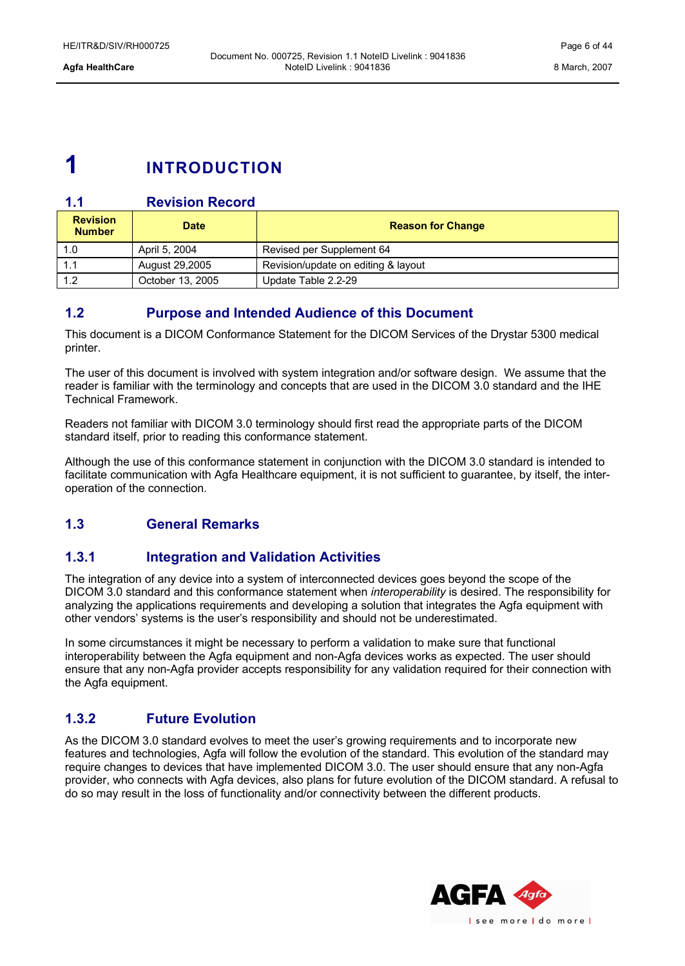# <span id="page-5-5"></span>**1 INTRODUCTION**

### **1.1 Revision Record**

<span id="page-5-4"></span>

| <b>Revision</b><br><b>Number</b> | <b>Date</b>      | <b>Reason for Change</b>            |
|----------------------------------|------------------|-------------------------------------|
| 1.0                              | April 5, 2004    | Revised per Supplement 64           |
|                                  | August 29,2005   | Revision/update on editing & layout |
| 12                               | October 13, 2005 | Update Table 2.2-29                 |

### <span id="page-5-3"></span>**1.2 Purpose and Intended Audience of this Document**

This document is a DICOM Conformance Statement for the DICOM Services of the Drystar 5300 medical printer.

The user of this document is involved with system integration and/or software design. We assume that the reader is familiar with the terminology and concepts that are used in the DICOM 3.0 standard and the IHE Technical Framework.

Readers not familiar with DICOM 3.0 terminology should first read the appropriate parts of the DICOM standard itself, prior to reading this conformance statement.

Although the use of this conformance statement in conjunction with the DICOM 3.0 standard is intended to facilitate communication with Agfa Healthcare equipment, it is not sufficient to guarantee, by itself, the interoperation of the connection.

### <span id="page-5-2"></span>**1.3 General Remarks**

### <span id="page-5-1"></span>**1.3.1 Integration and Validation Activities**

The integration of any device into a system of interconnected devices goes beyond the scope of the DICOM 3.0 standard and this conformance statement when *interoperability* is desired. The responsibility for analyzing the applications requirements and developing a solution that integrates the Agfa equipment with other vendors' systems is the user's responsibility and should not be underestimated.

In some circumstances it might be necessary to perform a validation to make sure that functional interoperability between the Agfa equipment and non-Agfa devices works as expected. The user should ensure that any non-Agfa provider accepts responsibility for any validation required for their connection with the Agfa equipment.

### <span id="page-5-0"></span>**1.3.2 Future Evolution**

As the DICOM 3.0 standard evolves to meet the user's growing requirements and to incorporate new features and technologies, Agfa will follow the evolution of the standard. This evolution of the standard may require changes to devices that have implemented DICOM 3.0. The user should ensure that any non-Agfa provider, who connects with Agfa devices, also plans for future evolution of the DICOM standard. A refusal to do so may result in the loss of functionality and/or connectivity between the different products.

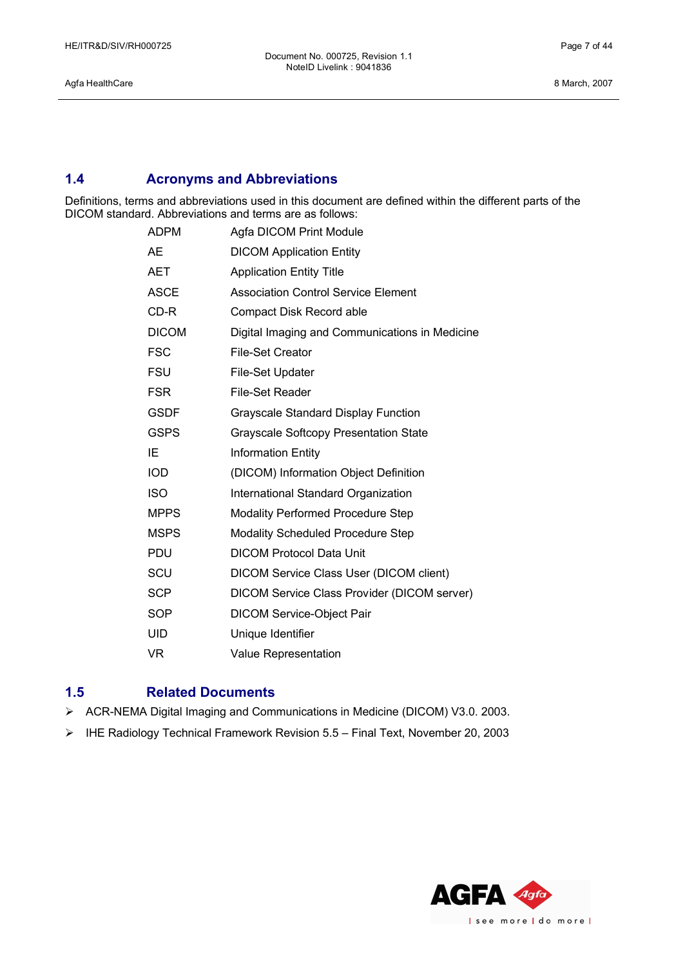Agfa HealthCare 8 March, 2007

### <span id="page-6-1"></span>**1.4 Acronyms and Abbreviations**

Definitions, terms and abbreviations used in this document are defined within the different parts of the DICOM standard. Abbreviations and terms are as follows:

| <b>ADPM</b>  | Agfa DICOM Print Module                        |
|--------------|------------------------------------------------|
| AE           | <b>DICOM Application Entity</b>                |
| AET          | <b>Application Entity Title</b>                |
| <b>ASCE</b>  | <b>Association Control Service Element</b>     |
| CD-R         | Compact Disk Record able                       |
| <b>DICOM</b> | Digital Imaging and Communications in Medicine |
| <b>FSC</b>   | <b>File-Set Creator</b>                        |
| FSU          | <b>File-Set Updater</b>                        |
| <b>FSR</b>   | <b>File-Set Reader</b>                         |
| <b>GSDF</b>  | <b>Grayscale Standard Display Function</b>     |
| <b>GSPS</b>  | <b>Grayscale Softcopy Presentation State</b>   |
| IE           | <b>Information Entity</b>                      |
| <b>IOD</b>   | (DICOM) Information Object Definition          |
| <b>ISO</b>   | International Standard Organization            |
| <b>MPPS</b>  | <b>Modality Performed Procedure Step</b>       |
| <b>MSPS</b>  | <b>Modality Scheduled Procedure Step</b>       |
| <b>PDU</b>   | <b>DICOM Protocol Data Unit</b>                |
| SCU          | DICOM Service Class User (DICOM client)        |
| <b>SCP</b>   | DICOM Service Class Provider (DICOM server)    |
| SOP          | <b>DICOM Service-Object Pair</b>               |
| UID          | Unique Identifier                              |
| <b>VR</b>    | <b>Value Representation</b>                    |

### <span id="page-6-0"></span>**1.5 Related Documents**

- Ø ACR-NEMA Digital Imaging and Communications in Medicine (DICOM) V3.0. 2003.
- Ø IHE Radiology Technical Framework Revision 5.5 Final Text, November 20, 2003

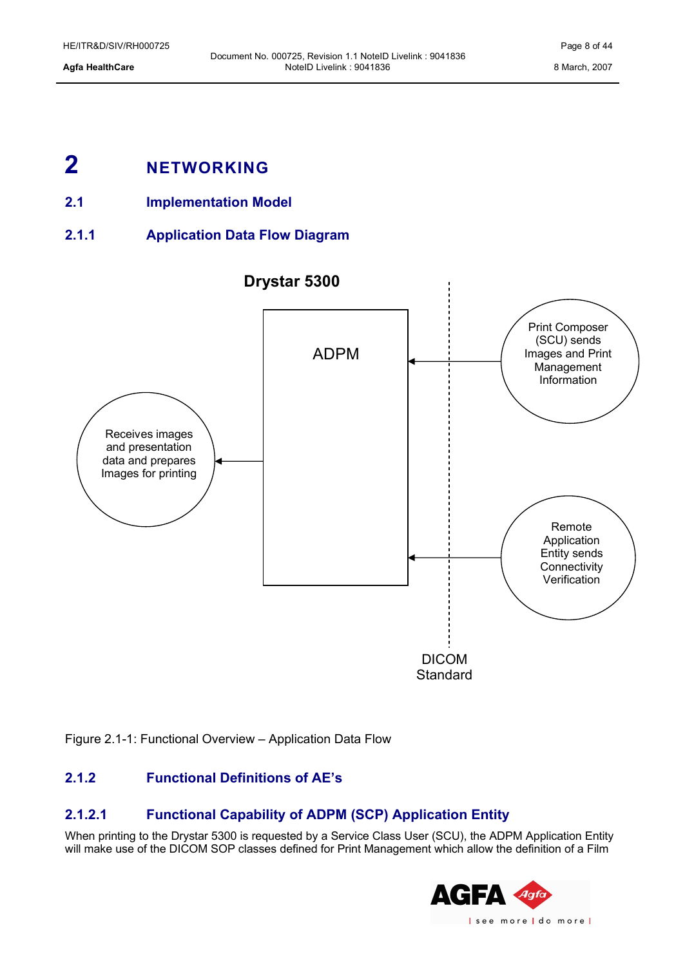# <span id="page-7-4"></span>**2 NETWORKING**

- <span id="page-7-3"></span>**2.1 Implementation Model**
- **2.1.1 Application Data Flow Diagram**

<span id="page-7-2"></span>

Figure 2.1-1: Functional Overview – Application Data Flow

### <span id="page-7-1"></span>**2.1.2 Functional Definitions of AE's**

### <span id="page-7-0"></span>**2.1.2.1 Functional Capability of ADPM (SCP) Application Entity**

When printing to the Drystar 5300 is requested by a Service Class User (SCU), the ADPM Application Entity will make use of the DICOM SOP classes defined for Print Management which allow the definition of a Film

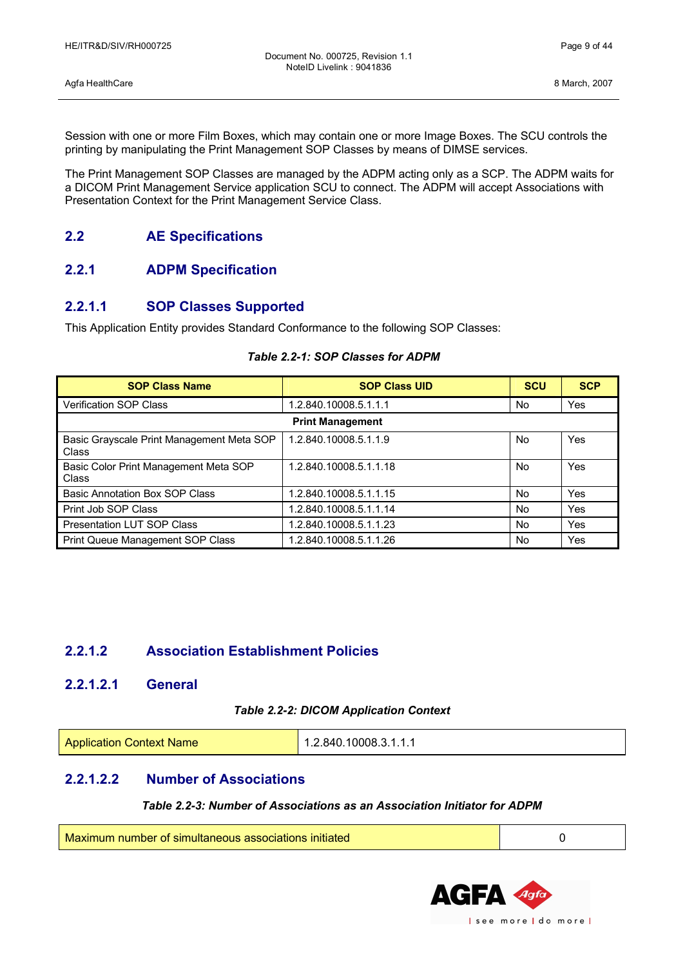Agfa HealthCare 8 March, 2007

Session with one or more Film Boxes, which may contain one or more Image Boxes. The SCU controls the printing by manipulating the Print Management SOP Classes by means of DIMSE services.

The Print Management SOP Classes are managed by the ADPM acting only as a SCP. The ADPM waits for a DICOM Print Management Service application SCU to connect. The ADPM will accept Associations with Presentation Context for the Print Management Service Class.

### <span id="page-8-5"></span>**2.2 AE Specifications**

### <span id="page-8-4"></span>**2.2.1 ADPM Specification**

### <span id="page-8-3"></span>**2.2.1.1 SOP Classes Supported**

This Application Entity provides Standard Conformance to the following SOP Classes:

### **SOP Class Name SOP Class UID SCU SCU SCP** Verification SOP Class 1.2.840.10008.5.1.1.1 No Yes **Print Management** Basic Grayscale Print Management Meta SOP Class 1.2.840.10008.5.1.1.9 No Yes Basic Color Print Management Meta SOP Class 1.2.840.10008.5.1.1.18 No Yes Basic Annotation Box SOP Class 1.2.840.10008.5.1.1.15 No Yes Print Job SOP Class 2.2.840.10008.5.1.1.14 No Yes Presentation LUT SOP Class 1.2.840.10008.5.1.1.23 No Yes Print Queue Management SOP Class 1.2.840.10008.5.1.1.26 No Yes

### *Table 2.2-1: SOP Classes for ADPM*

### <span id="page-8-2"></span>**2.2.1.2 Association Establishment Policies**

### <span id="page-8-1"></span>**2.2.1.2.1 General**

### *Table 2.2-2: DICOM Application Context*

| <b>Application Context Name</b> | 1.2.840.10008.3.1.1.1 |
|---------------------------------|-----------------------|
|---------------------------------|-----------------------|

### <span id="page-8-0"></span>**2.2.1.2.2 Number of Associations**

### *Table 2.2-3: Number of Associations as an Association Initiator for ADPM*

| Maximum number of simultaneous associations initiated |  |
|-------------------------------------------------------|--|
|                                                       |  |

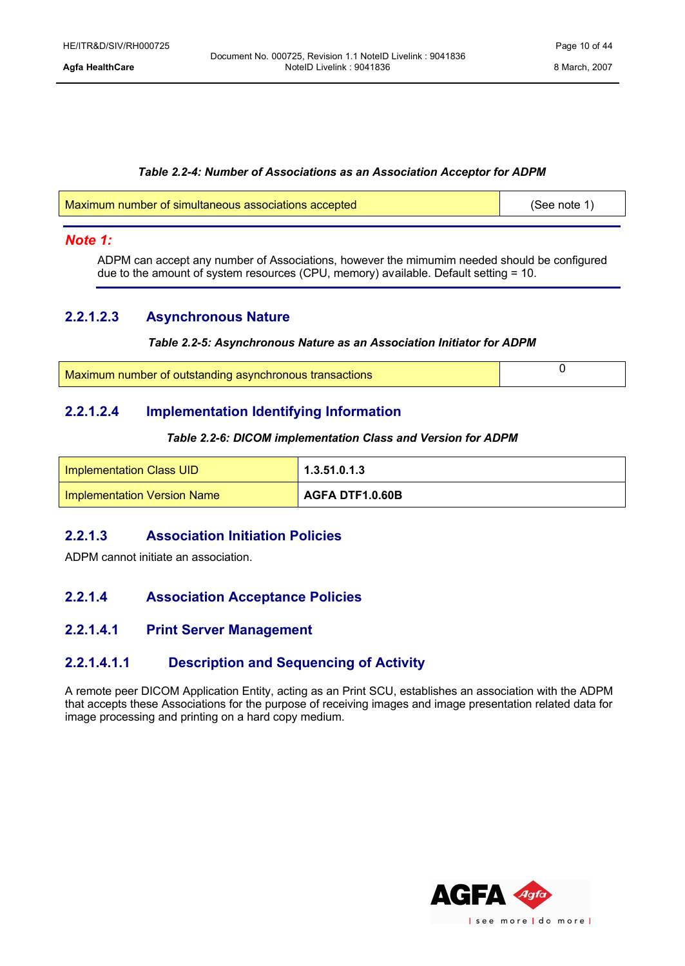### *Table 2.2-4: Number of Associations as an Association Acceptor for ADPM*

| Maximum number of simultaneous associations accepted | (See note 1) |
|------------------------------------------------------|--------------|
|                                                      |              |

### *Note 1:*

ADPM can accept any number of Associations, however the mimumim needed should be configured due to the amount of system resources (CPU, memory) available. Default setting = 10.

### <span id="page-9-5"></span>**2.2.1.2.3 Asynchronous Nature**

### *Table 2.2-5: Asynchronous Nature as an Association Initiator for ADPM*

| Maximum number of outstanding asynchronous transactions |  |
|---------------------------------------------------------|--|

### <span id="page-9-4"></span>**2.2.1.2.4 Implementation Identifying Information**

### *Table 2.2-6: DICOM implementation Class and Version for ADPM*

| Implementation Class UID           | 1.3.51.0.1.3    |
|------------------------------------|-----------------|
| <b>Implementation Version Name</b> | AGFA DTF1.0.60B |

### <span id="page-9-3"></span>**2.2.1.3 Association Initiation Policies**

ADPM cannot initiate an association.

### <span id="page-9-2"></span>**2.2.1.4 Association Acceptance Policies**

### <span id="page-9-1"></span>**2.2.1.4.1 Print Server Management**

### <span id="page-9-0"></span>**2.2.1.4.1.1 Description and Sequencing of Activity**

A remote peer DICOM Application Entity, acting as an Print SCU, establishes an association with the ADPM that accepts these Associations for the purpose of receiving images and image presentation related data for image processing and printing on a hard copy medium.

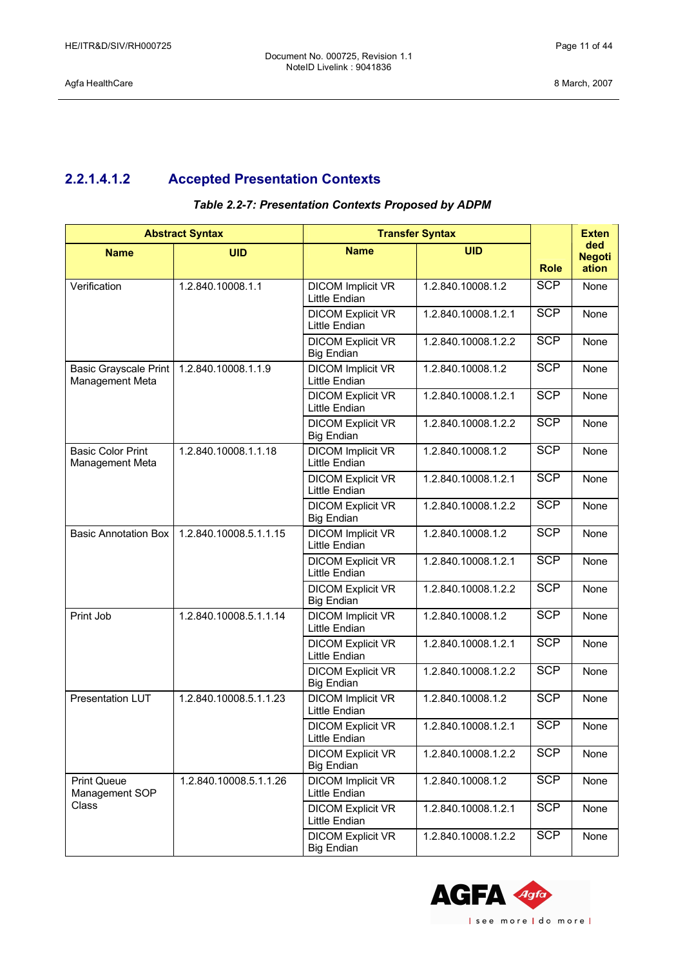### <span id="page-10-0"></span>**2.2.1.4.1.2 Accepted Presentation Contexts**

| <b>Abstract Syntax</b>                      |                        | <b>Transfer Syntax</b>                           |                     | <b>Exten</b> |                               |
|---------------------------------------------|------------------------|--------------------------------------------------|---------------------|--------------|-------------------------------|
| <b>Name</b>                                 | <b>UID</b>             | <b>Name</b>                                      | <b>UID</b>          | <b>Role</b>  | ded<br><b>Negoti</b><br>ation |
| Verification                                | 1.2.840.10008.1.1      | <b>DICOM Implicit VR</b><br>Little Endian        | 1.2.840.10008.1.2   | <b>SCP</b>   | None                          |
|                                             |                        | <b>DICOM Explicit VR</b><br>Little Endian        | 1.2.840.10008.1.2.1 | <b>SCP</b>   | None                          |
|                                             |                        | <b>DICOM Explicit VR</b><br><b>Big Endian</b>    | 1.2.840.10008.1.2.2 | <b>SCP</b>   | None                          |
| Basic Grayscale Print<br>Management Meta    | 1.2.840.10008.1.1.9    | <b>DICOM Implicit VR</b><br>Little Endian        | 1.2.840.10008.1.2   | <b>SCP</b>   | None                          |
|                                             |                        | <b>DICOM Explicit VR</b><br>Little Endian        | 1.2.840.10008.1.2.1 | <b>SCP</b>   | None                          |
|                                             |                        | <b>DICOM Explicit VR</b><br><b>Big Endian</b>    | 1.2.840.10008.1.2.2 | <b>SCP</b>   | None                          |
| <b>Basic Color Print</b><br>Management Meta | 1.2.840.10008.1.1.18   | <b>DICOM Implicit VR</b><br>Little Endian        | 1.2.840.10008.1.2   | <b>SCP</b>   | None                          |
|                                             |                        | <b>DICOM Explicit VR</b><br>Little Endian        | 1.2.840.10008.1.2.1 | <b>SCP</b>   | None                          |
|                                             |                        | <b>DICOM Explicit VR</b><br><b>Big Endian</b>    | 1.2.840.10008.1.2.2 | <b>SCP</b>   | None                          |
| <b>Basic Annotation Box</b>                 | 1.2.840.10008.5.1.1.15 | <b>DICOM Implicit VR</b><br>Little Endian        | 1.2.840.10008.1.2   | <b>SCP</b>   | None                          |
|                                             |                        | <b>DICOM Explicit VR</b><br><b>Little Endian</b> | 1.2.840.10008.1.2.1 | <b>SCP</b>   | None                          |
|                                             |                        | <b>DICOM Explicit VR</b><br><b>Big Endian</b>    | 1.2.840.10008.1.2.2 | <b>SCP</b>   | None                          |
| Print Job                                   | 1.2.840.10008.5.1.1.14 | <b>DICOM Implicit VR</b><br>Little Endian        | 1.2.840.10008.1.2   | <b>SCP</b>   | None                          |
|                                             |                        | <b>DICOM Explicit VR</b><br>Little Endian        | 1.2.840.10008.1.2.1 | <b>SCP</b>   | None                          |
|                                             |                        | <b>DICOM Explicit VR</b><br><b>Big Endian</b>    | 1.2.840.10008.1.2.2 | <b>SCP</b>   | None                          |
| <b>Presentation LUT</b>                     | 1.2.840.10008.5.1.1.23 | <b>DICOM Implicit VR</b><br>Little Endian        | 1.2.840.10008.1.2   | <b>SCP</b>   | None                          |
|                                             |                        | <b>DICOM Explicit VR</b><br>Little Endian        | 1.2.840.10008.1.2.1 | <b>SCP</b>   | None                          |
|                                             |                        | <b>DICOM Explicit VR</b><br><b>Big Endian</b>    | 1.2.840.10008.1.2.2 | <b>SCP</b>   | None                          |
| <b>Print Queue</b><br>Management SOP        | 1.2.840.10008.5.1.1.26 | <b>DICOM Implicit VR</b><br>Little Endian        | 1.2.840.10008.1.2   | <b>SCP</b>   | None                          |
| Class                                       |                        | <b>DICOM Explicit VR</b><br>Little Endian        | 1.2.840.10008.1.2.1 | <b>SCP</b>   | None                          |
|                                             |                        | <b>DICOM Explicit VR</b><br><b>Big Endian</b>    | 1.2.840.10008.1.2.2 | <b>SCP</b>   | None                          |

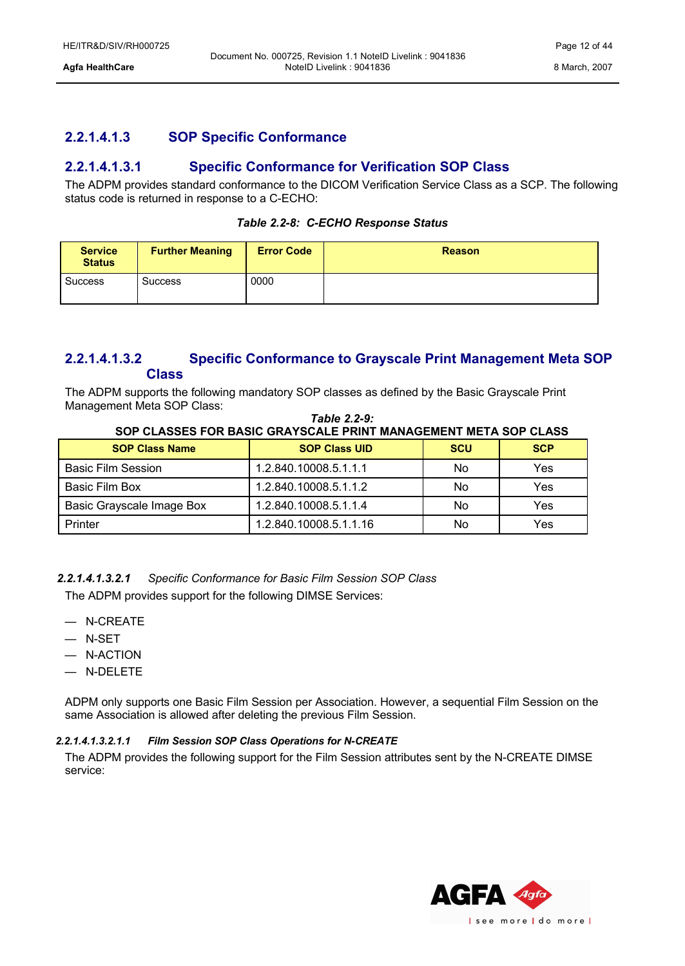### <span id="page-11-2"></span>**2.2.1.4.1.3 SOP Specific Conformance**

### <span id="page-11-1"></span>**2.2.1.4.1.3.1 Specific Conformance for Verification SOP Class**

The ADPM provides standard conformance to the DICOM Verification Service Class as a SCP. The following status code is returned in response to a C-ECHO:

| Table 2.2-8: C-ECHO Response Status |  |  |  |
|-------------------------------------|--|--|--|
|-------------------------------------|--|--|--|

| <b>Service</b><br><b>Status</b> | <b>Further Meaning</b> | <b>Error Code</b> | <b>Reason</b> |
|---------------------------------|------------------------|-------------------|---------------|
| <b>Success</b>                  | <b>Success</b>         | 0000              |               |

### <span id="page-11-0"></span>**2.2.1.4.1.3.2 Specific Conformance to Grayscale Print Management Meta SOP Class**

The ADPM supports the following mandatory SOP classes as defined by the Basic Grayscale Print Management Meta SOP Class:

| SUP CLASSES FUR BASIC GRATSCALE PRINT MANAGEMENT META SUP CLASS |                        |            |            |  |  |
|-----------------------------------------------------------------|------------------------|------------|------------|--|--|
| <b>SOP Class Name</b>                                           | <b>SOP Class UID</b>   | <b>SCU</b> | <b>SCP</b> |  |  |
| <b>Basic Film Session</b>                                       | 1.2.840.10008.5.1.1.1  | No         | Yes        |  |  |
| Basic Film Box                                                  | 1.2.840.10008.5.1.1.2  | No         | Yes        |  |  |
| Basic Grayscale Image Box                                       | 1.2.840.10008.5.1.1.4  | No         | Yes        |  |  |
| Printer                                                         | 1.2.840.10008.5.1.1.16 | No         | Yes        |  |  |

### *Table 2.2-9:* **SOP CLASSES FOR BASIC GRAYSCALE PRINT MANAGEMENT META SOP CLASS**

*2.2.1.4.1.3.2.1 Specific Conformance for Basic Film Session SOP Class*

The ADPM provides support for the following DIMSE Services:

- N-CREATE
- N-SET
- N-ACTION
- N-DELETE

ADPM only supports one Basic Film Session per Association. However, a sequential Film Session on the same Association is allowed after deleting the previous Film Session.

### *2.2.1.4.1.3.2.1.1 Film Session SOP Class Operations for N-CREATE*

The ADPM provides the following support for the Film Session attributes sent by the N-CREATE DIMSE service:

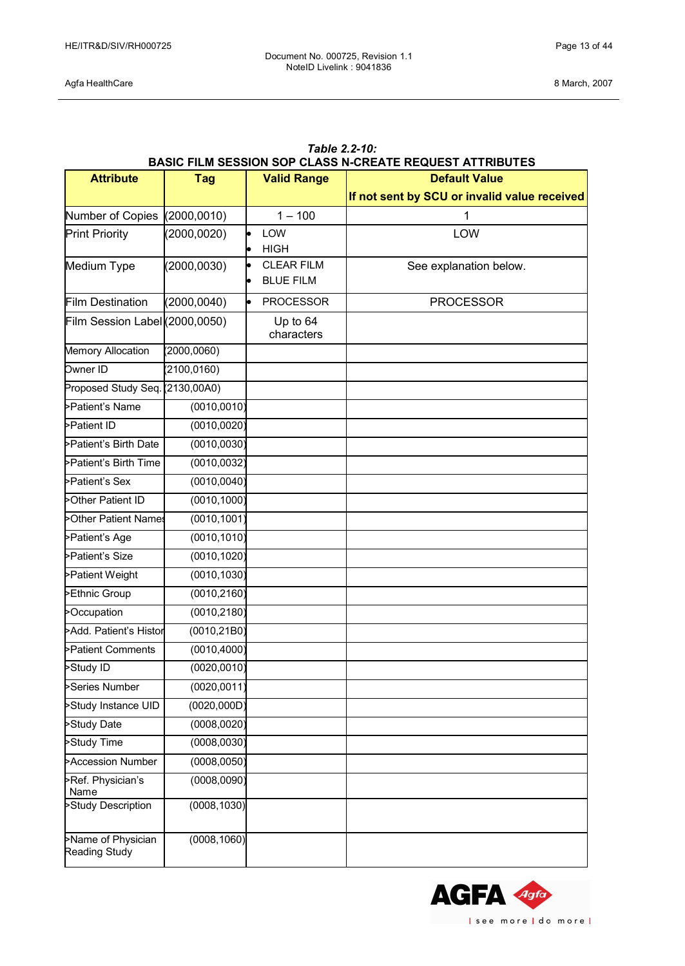Agfa HealthCare 8 March, 2007

| Table 2.2-Tu:<br><b>BASIC FILM SESSION SOP CLASS N-CREATE REQUEST ATTRIBUTES</b> |              |                                             |                                              |  |
|----------------------------------------------------------------------------------|--------------|---------------------------------------------|----------------------------------------------|--|
| <b>Attribute</b><br><b>Tag</b>                                                   |              | <b>Valid Range</b>                          | <b>Default Value</b>                         |  |
|                                                                                  |              |                                             | If not sent by SCU or invalid value received |  |
| Number of Copies                                                                 | (2000, 0010) | $1 - 100$                                   | 1                                            |  |
| <b>Print Priority</b>                                                            | (2000, 0020) | LOW                                         | LOW                                          |  |
|                                                                                  |              | <b>HIGH</b><br>$\bullet$                    |                                              |  |
| Medium Type                                                                      | (2000, 0030) | <b>CLEAR FILM</b><br>l.<br><b>BLUE FILM</b> | See explanation below.                       |  |
| <b>Film Destination</b>                                                          | (2000, 0040) | <b>PROCESSOR</b>                            | <b>PROCESSOR</b>                             |  |
| Film Session Label (2000,0050)                                                   |              | Up to 64<br>characters                      |                                              |  |
| Memory Allocation                                                                | (2000, 0060) |                                             |                                              |  |
| Owner ID                                                                         | (2100, 0160) |                                             |                                              |  |
| Proposed Study Seq. (2130,00A0)                                                  |              |                                             |                                              |  |
| >Patient's Name                                                                  | (0010, 0010) |                                             |                                              |  |
| >Patient ID                                                                      | (0010, 0020) |                                             |                                              |  |
| >Patient's Birth Date                                                            | (0010, 0030) |                                             |                                              |  |
| >Patient's Birth Time                                                            | (0010, 0032) |                                             |                                              |  |
| >Patient's Sex                                                                   | (0010, 0040) |                                             |                                              |  |
| >Other Patient ID                                                                | (0010, 1000) |                                             |                                              |  |
| >Other Patient Names                                                             | (0010, 1001) |                                             |                                              |  |
| >Patient's Age                                                                   | (0010, 1010) |                                             |                                              |  |
| >Patient's Size                                                                  | (0010, 1020) |                                             |                                              |  |
| >Patient Weight                                                                  | (0010, 1030) |                                             |                                              |  |
| Ethnic Group                                                                     | (0010, 2160) |                                             |                                              |  |
| >Occupation                                                                      | (0010, 2180) |                                             |                                              |  |
| >Add. Patient's Histor                                                           | (0010, 21B0) |                                             |                                              |  |
| >Patient Comments                                                                | (0010, 4000) |                                             |                                              |  |
| >Study ID                                                                        | (0020, 0010) |                                             |                                              |  |
| Series Number                                                                    | (0020, 0011) |                                             |                                              |  |
| Study Instance UID                                                               | (0020, 000D) |                                             |                                              |  |
| Study Date                                                                       | (0008, 0020) |                                             |                                              |  |
| Study Time                                                                       | (0008, 0030) |                                             |                                              |  |
| >Accession Number                                                                | (0008, 0050) |                                             |                                              |  |
| >Ref. Physician's<br>Name                                                        | (0008, 0090) |                                             |                                              |  |
| >Study Description                                                               | (0008, 1030) |                                             |                                              |  |
| >Name of Physician<br><b>Reading Study</b>                                       | (0008, 1060) |                                             |                                              |  |

# *Table 2.2-10:*

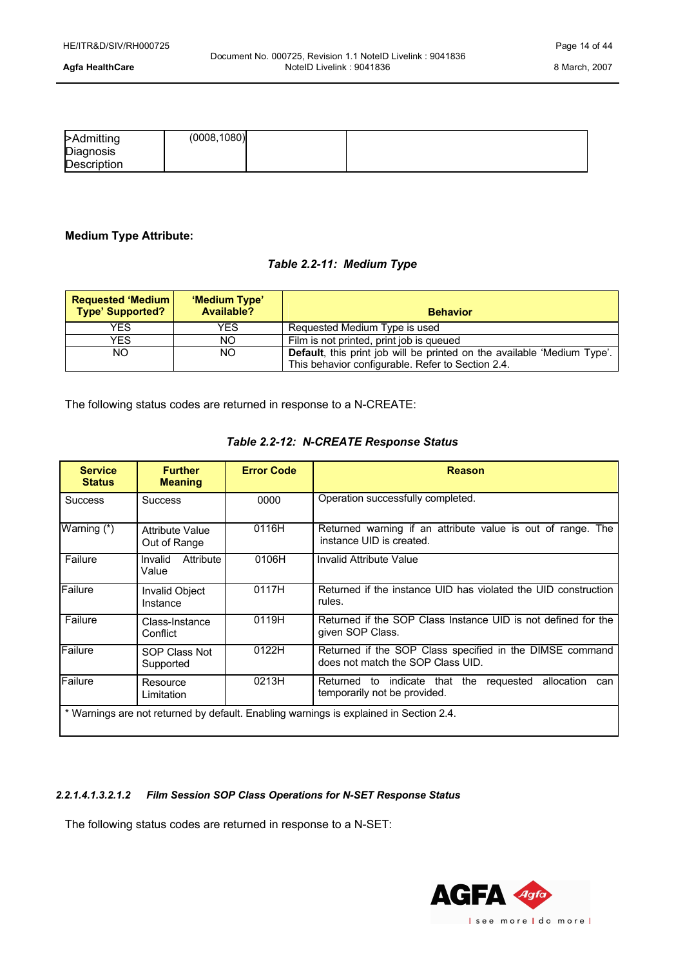| >Admitting  | (0008, 1080) |  |
|-------------|--------------|--|
| Diagnosis   |              |  |
| Description |              |  |

### **Medium Type Attribute:**

### *Table 2.2-11: Medium Type*

| <b>Requested 'Medium  </b><br><b>Type' Supported?</b> | 'Medium Type'<br>Available? | <b>Behavior</b>                                                         |
|-------------------------------------------------------|-----------------------------|-------------------------------------------------------------------------|
| YES.                                                  | YES                         | Requested Medium Type is used                                           |
| YES.                                                  | NO.                         | Film is not printed, print job is queued                                |
| NO.                                                   | ΝO                          | Default, this print job will be printed on the available 'Medium Type'. |
|                                                       |                             | This behavior configurable. Refer to Section 2.4.                       |

The following status codes are returned in response to a N-CREATE:

| <b>Service</b><br><b>Status</b> | <b>Further</b><br><b>Meaning</b>                                                       | <b>Error Code</b> | <b>Reason</b>                                                                                 |  |
|---------------------------------|----------------------------------------------------------------------------------------|-------------------|-----------------------------------------------------------------------------------------------|--|
| <b>Success</b>                  | <b>Success</b>                                                                         | 0000              | Operation successfully completed.                                                             |  |
| Warning (*)                     | <b>Attribute Value</b><br>Out of Range                                                 | 0116H             | Returned warning if an attribute value is out of range. The<br>instance UID is created.       |  |
| Failure                         | Attribute<br>Invalid<br>Value                                                          | 0106H             | Invalid Attribute Value                                                                       |  |
| Failure                         | Invalid Object<br>Instance                                                             | 0117H             | Returned if the instance UID has violated the UID construction<br>rules.                      |  |
| Failure                         | Class-Instance<br>Conflict                                                             | 0119H             | Returned if the SOP Class Instance UID is not defined for the<br>given SOP Class.             |  |
| Failure                         | SOP Class Not<br>Supported                                                             | 0122H             | Returned if the SOP Class specified in the DIMSE command<br>does not match the SOP Class UID. |  |
| Failure                         | Resource<br>Limitation                                                                 | 0213H             | allocation<br>Returned to indicate that the requested<br>can<br>temporarily not be provided.  |  |
|                                 | * Warnings are not returned by default. Enabling warnings is explained in Section 2.4. |                   |                                                                                               |  |

### *Table 2.2-12: N-CREATE Response Status*

### *2.2.1.4.1.3.2.1.2 Film Session SOP Class Operations for N-SET Response Status*

The following status codes are returned in response to a N-SET:

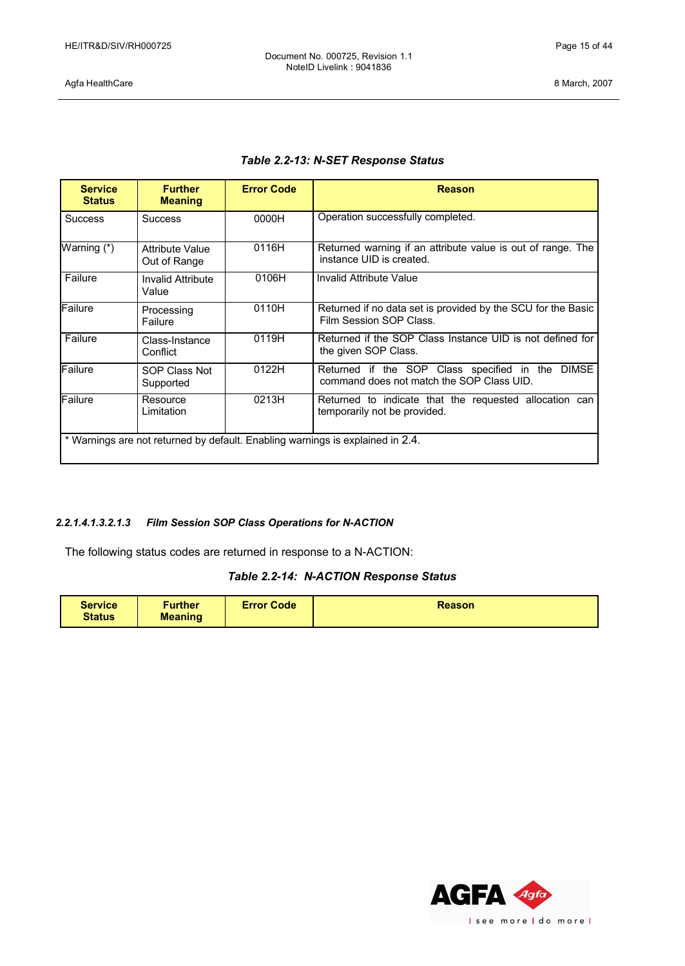Document No. 000725, Revision 1.1 NoteID Livelink : 9041836

Agfa HealthCare 8 March, 2007

| <b>Service</b><br><b>Status</b>                                                | <b>Further</b><br><b>Meaning</b>       | <b>Error Code</b> | <b>Reason</b>                                                                                 |
|--------------------------------------------------------------------------------|----------------------------------------|-------------------|-----------------------------------------------------------------------------------------------|
| <b>Success</b>                                                                 | <b>Success</b>                         | 0000H             | Operation successfully completed.                                                             |
| Warning (*)                                                                    | <b>Attribute Value</b><br>Out of Range | 0116H             | Returned warning if an attribute value is out of range. The<br>instance UID is created.       |
| Failure                                                                        | <b>Invalid Attribute</b><br>Value      | 0106H             | Invalid Attribute Value                                                                       |
| Failure                                                                        | Processing<br>Failure                  | 0110H             | Returned if no data set is provided by the SCU for the Basic<br>Film Session SOP Class.       |
| Failure                                                                        | Class-Instance<br>Conflict             | 0119H             | Returned if the SOP Class Instance UID is not defined for<br>the given SOP Class.             |
| Failure                                                                        | SOP Class Not<br>Supported             | 0122H             | Returned if the SOP Class specified in the DIMSE<br>command does not match the SOP Class UID. |
| Failure                                                                        | Resource<br>Limitation                 | 0213H             | Returned to indicate that the requested allocation can<br>temporarily not be provided.        |
| * Warnings are not returned by default. Enabling warnings is explained in 2.4. |                                        |                   |                                                                                               |

### *2.2.1.4.1.3.2.1.3 Film Session SOP Class Operations for N-ACTION*

The following status codes are returned in response to a N-ACTION:

### *Table 2.2-14: N-ACTION Response Status*

| <b>Service</b><br><b>Status</b> | <b>Further</b><br><b>Meaning</b> | <b>Error Code</b> | <b>Reason</b> |
|---------------------------------|----------------------------------|-------------------|---------------|
|                                 |                                  |                   |               |

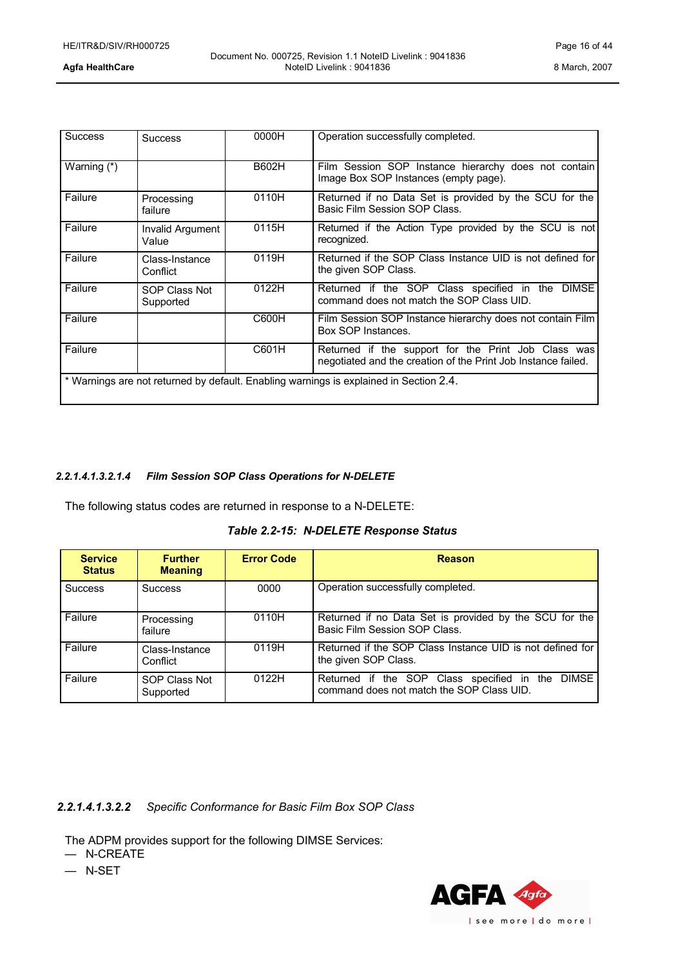| <b>Success</b>                                                                         | <b>Success</b>             | 0000H        | Operation successfully completed.                                                                                    |
|----------------------------------------------------------------------------------------|----------------------------|--------------|----------------------------------------------------------------------------------------------------------------------|
| Warning (*)                                                                            |                            | <b>B602H</b> | Film Session SOP Instance hierarchy does not contain<br>Image Box SOP Instances (empty page).                        |
| Failure                                                                                | Processing<br>failure      | 0110H        | Returned if no Data Set is provided by the SCU for the<br>Basic Film Session SOP Class.                              |
| Failure                                                                                | Invalid Argument<br>Value  | 0115H        | Returned if the Action Type provided by the SCU is not<br>recognized.                                                |
| Failure                                                                                | Class-Instance<br>Conflict | 0119H        | Returned if the SOP Class Instance UID is not defined for<br>the given SOP Class.                                    |
| Failure                                                                                | SOP Class Not<br>Supported | 0122H        | Returned if the SOP Class specified in the DIMSE<br>command does not match the SOP Class UID.                        |
| Failure                                                                                |                            | C600H        | Film Session SOP Instance hierarchy does not contain Film<br>Box SOP Instances.                                      |
| Failure                                                                                |                            | C601H        | Returned if the support for the Print Job Class was<br>negotiated and the creation of the Print Job Instance failed. |
| * Warnings are not returned by default. Enabling warnings is explained in Section 2.4. |                            |              |                                                                                                                      |

### *2.2.1.4.1.3.2.1.4 Film Session SOP Class Operations for N-DELETE*

The following status codes are returned in response to a N-DELETE:

|  |  | Table 2.2-15: N-DELETE Response Status |
|--|--|----------------------------------------|
|--|--|----------------------------------------|

| <b>Service</b><br><b>Status</b> | <b>Further</b><br><b>Meaning</b> | <b>Error Code</b> | <b>Reason</b>                                                                                           |
|---------------------------------|----------------------------------|-------------------|---------------------------------------------------------------------------------------------------------|
| <b>Success</b>                  | <b>Success</b>                   | 0000              | Operation successfully completed.                                                                       |
| Failure                         | Processing<br>failure            | 0110H             | Returned if no Data Set is provided by the SCU for the<br>Basic Film Session SOP Class.                 |
| Failure                         | Class-Instance<br>Conflict       | 0119H             | Returned if the SOP Class Instance UID is not defined for<br>the given SOP Class.                       |
| Failure                         | SOP Class Not<br>Supported       | 0122H             | <b>DIMSE</b><br>Returned if the SOP Class specified in the<br>command does not match the SOP Class UID. |

### *2.2.1.4.1.3.2.2 Specific Conformance for Basic Film Box SOP Class*

The ADPM provides support for the following DIMSE Services:

— N-CREATE

— N-SET

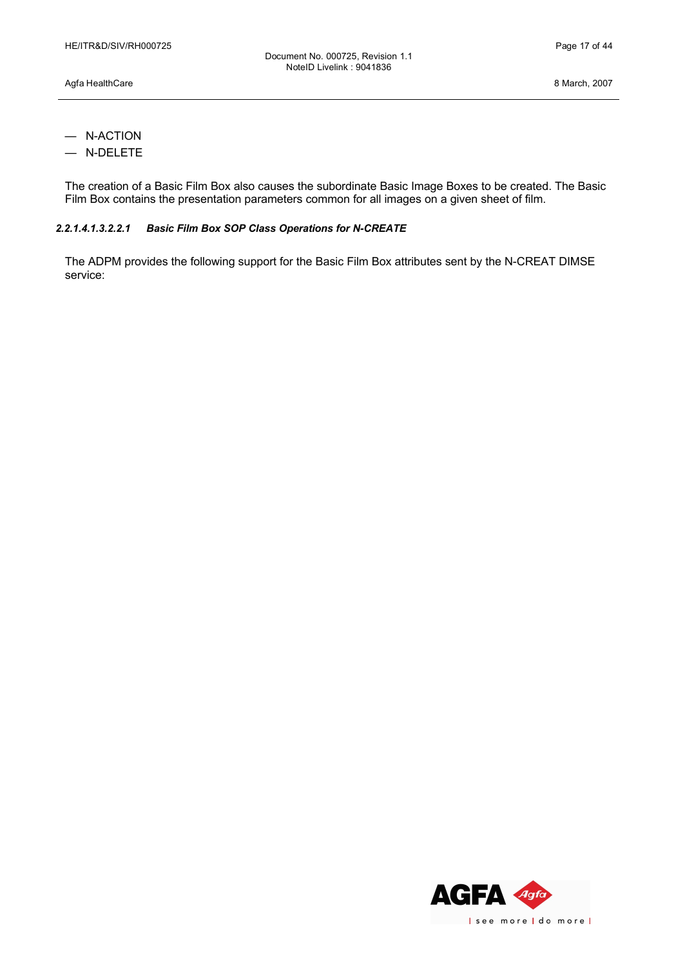- N-ACTION
- N-DELETE

The creation of a Basic Film Box also causes the subordinate Basic Image Boxes to be created. The Basic Film Box contains the presentation parameters common for all images on a given sheet of film.

### *2.2.1.4.1.3.2.2.1 Basic Film Box SOP Class Operations for N-CREATE*

The ADPM provides the following support for the Basic Film Box attributes sent by the N-CREAT DIMSE service:

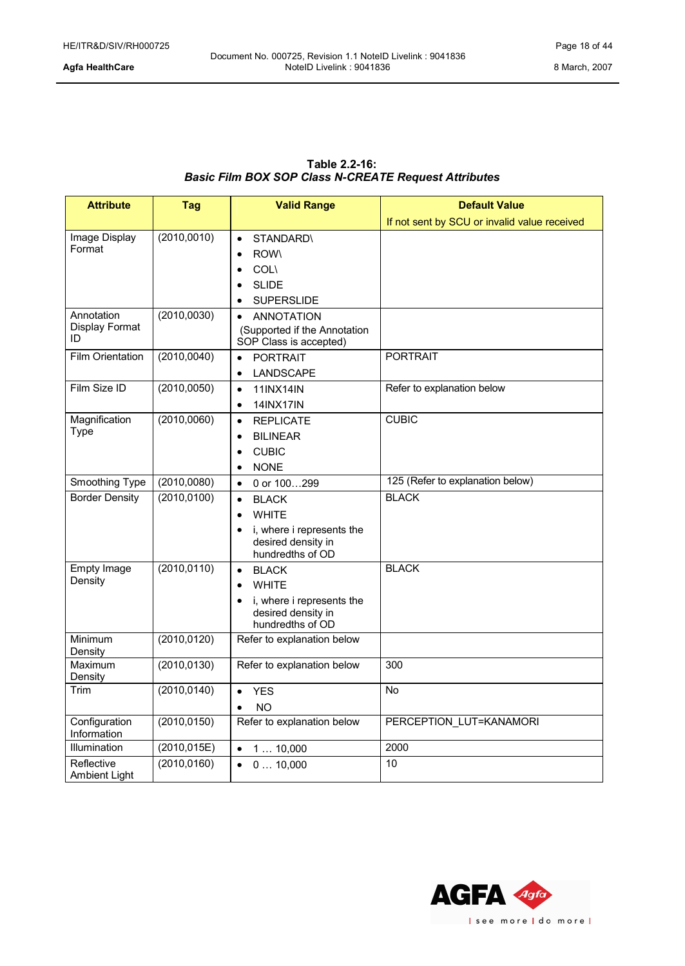### **Table 2.2-16:** *Basic Film BOX SOP Class N-CREATE Request Attributes*

| <b>Attribute</b>                   | <b>Tag</b>   | <b>Valid Range</b>                                                                                                            | <b>Default Value</b>                         |
|------------------------------------|--------------|-------------------------------------------------------------------------------------------------------------------------------|----------------------------------------------|
|                                    |              |                                                                                                                               | If not sent by SCU or invalid value received |
| Image Display<br>Format            | (2010, 0010) | <b>STANDARD\</b><br>$\bullet$<br><b>ROW\</b><br><b>COL</b><br><b>SLIDE</b><br><b>SUPERSLIDE</b>                               |                                              |
| Annotation<br>Display Format<br>ID | (2010, 0030) | <b>ANNOTATION</b><br>(Supported if the Annotation<br>SOP Class is accepted)                                                   |                                              |
| <b>Film Orientation</b>            | (2010, 0040) | <b>PORTRAIT</b><br>$\bullet$<br>LANDSCAPE<br>$\bullet$                                                                        | <b>PORTRAIT</b>                              |
| Film Size ID                       | (2010, 0050) | <b>11INX14IN</b><br>$\bullet$<br><b>14INX17IN</b><br>$\bullet$                                                                | Refer to explanation below                   |
| Magnification<br><b>Type</b>       | (2010,0060)  | <b>REPLICATE</b><br>$\bullet$<br><b>BILINEAR</b><br>$\bullet$<br><b>CUBIC</b><br>$\bullet$<br><b>NONE</b><br>$\bullet$        | <b>CUBIC</b>                                 |
| Smoothing Type                     | (2010,0080)  | 0 or 100299<br>$\bullet$                                                                                                      | 125 (Refer to explanation below)             |
| <b>Border Density</b>              | (2010, 0100) | <b>BLACK</b><br>$\bullet$<br><b>WHITE</b><br>$\bullet$<br>i, where i represents the<br>desired density in<br>hundredths of OD | <b>BLACK</b>                                 |
| Empty Image<br>Density             | (2010, 0110) | <b>BLACK</b><br>$\bullet$<br><b>WHITE</b><br>i, where i represents the<br>$\bullet$<br>desired density in<br>hundredths of OD | <b>BLACK</b>                                 |
| Minimum<br>Density                 | (2010, 0120) | Refer to explanation below                                                                                                    |                                              |
| Maximum<br>Density                 | (2010, 0130) | Refer to explanation below                                                                                                    | 300                                          |
| Trim                               | (2010, 0140) | <b>YES</b><br>$\bullet$<br><b>NO</b>                                                                                          | <b>No</b>                                    |
| Configuration<br>Information       | (2010, 0150) | Refer to explanation below                                                                                                    | PERCEPTION LUT=KANAMORI                      |
| Illumination                       | (2010, 015E) | 110,000<br>$\bullet$                                                                                                          | 2000                                         |
| Reflective<br>Ambient Light        | (2010, 0160) | 010,000<br>$\bullet$                                                                                                          | 10                                           |

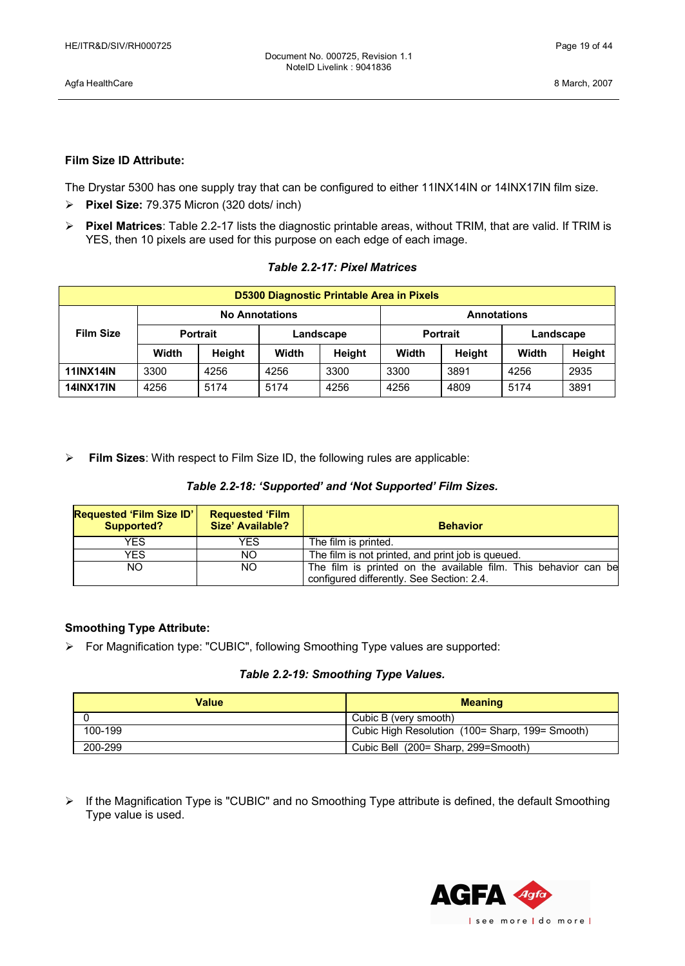Agfa HealthCare 8 March, 2007

### **Film Size ID Attribute:**

The Drystar 5300 has one supply tray that can be configured to either 11INX14IN or 14INX17IN film size.

- Ø **Pixel Size:** 79.375 Micron (320 dots/ inch)
- Ø **Pixel Matrices**: Table 2.2-17 lists the diagnostic printable areas, without TRIM, that are valid. If TRIM is YES, then 10 pixels are used for this purpose on each edge of each image.

| <b>D5300 Diagnostic Printable Area in Pixels</b> |                                             |        |                 |        |           |        |       |        |
|--------------------------------------------------|---------------------------------------------|--------|-----------------|--------|-----------|--------|-------|--------|
|                                                  | <b>No Annotations</b><br><b>Annotations</b> |        |                 |        |           |        |       |        |
| <b>Film Size</b>                                 | <b>Portrait</b><br>Landscape                |        | <b>Portrait</b> |        | Landscape |        |       |        |
|                                                  | Width                                       | Height | Width           | Height | Width     | Height | Width | Height |
| <b>11INX14IN</b>                                 | 3300                                        | 4256   | 4256            | 3300   | 3300      | 3891   | 4256  | 2935   |
| <b>14INX17IN</b>                                 | 4256                                        | 5174   | 5174            | 4256   | 4256      | 4809   | 5174  | 3891   |

### *Table 2.2-17: Pixel Matrices*

Ø **Film Sizes**: With respect to Film Size ID, the following rules are applicable:

| <b>Requested 'Film Size ID'</b><br><b>Supported?</b> | <b>Requested 'Film</b><br>Size' Available? | <b>Behavior</b>                                                                                              |
|------------------------------------------------------|--------------------------------------------|--------------------------------------------------------------------------------------------------------------|
| YES                                                  | YES                                        | The film is printed.                                                                                         |
| YES                                                  | NO.                                        | The film is not printed, and print job is queued.                                                            |
| NO.                                                  | NO.                                        | The film is printed on the available film. This behavior can be<br>configured differently. See Section: 2.4. |

### **Smoothing Type Attribute:**

Ø For Magnification type: "CUBIC", following Smoothing Type values are supported:

### *Table 2.2-19: Smoothing Type Values.*

| Value   | <b>Meaning</b>                                    |  |  |
|---------|---------------------------------------------------|--|--|
|         | Cubic B (very smooth)                             |  |  |
| 100-199 | Cubic High Resolution (100 = Sharp, 199 = Smooth) |  |  |
| 200-299 | Cubic Bell (200 = Sharp, 299 = Smooth)            |  |  |

 $\triangleright$  If the Magnification Type is "CUBIC" and no Smoothing Type attribute is defined, the default Smoothing Type value is used.

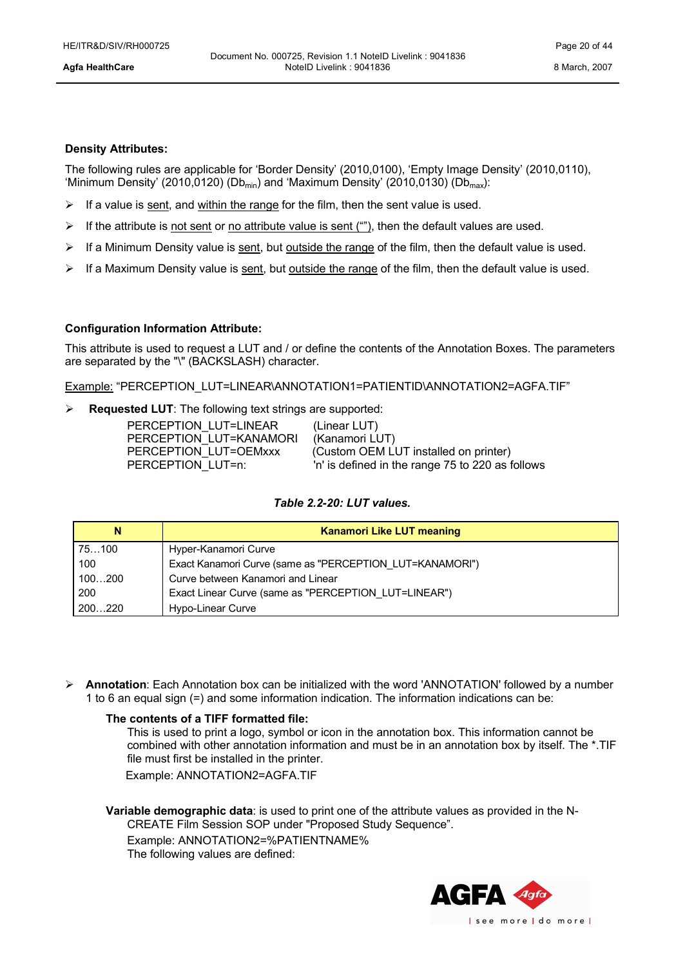### **Density Attributes:**

The following rules are applicable for 'Border Density' (2010,0100), 'Empty Image Density' (2010,0110), 'Minimum Density' (2010,0120) (Db<sub>min</sub>) and 'Maximum Density' (2010,0130) (Db<sub>max</sub>):

- $\triangleright$  If a value is sent, and within the range for the film, then the sent value is used.
- $\triangleright$  If the attribute is <u>not sent</u> or <u>no attribute value is sent ("")</u>, then the default values are used.
- $\triangleright$  If a Minimum Density value is sent, but outside the range of the film, then the default value is used.
- $\triangleright$  If a Maximum Density value is sent, but outside the range of the film, then the default value is used.

### **Configuration Information Attribute:**

This attribute is used to request a LUT and / or define the contents of the Annotation Boxes. The parameters are separated by the "\" (BACKSLASH) character.

Example: "PERCEPTION\_LUT=LINEAR\ANNOTATION1=PATIENTID\ANNOTATION2=AGFA.TIF"

Ø **Requested LUT**: The following text strings are supported:

| PERCEPTION LUT=LINEAR   | (Linear LUT)                                     |
|-------------------------|--------------------------------------------------|
| PERCEPTION LUT=KANAMORI | (Kanamori LUT)                                   |
| PERCEPTION LUT=OEMxxx   | (Custom OEM LUT installed on printer)            |
| PERCEPTION LUT=n:       | 'n' is defined in the range 75 to 220 as follows |

### *Table 2.2-20: LUT values.*

| N      | <b>Kanamori Like LUT meaning</b>                         |
|--------|----------------------------------------------------------|
| 75100  | Hyper-Kanamori Curve                                     |
| 100    | Exact Kanamori Curve (same as "PERCEPTION LUT=KANAMORI") |
| 100200 | Curve between Kanamori and Linear                        |
| 200    | Exact Linear Curve (same as "PERCEPTION LUT=LINEAR")     |
| 200220 | Hypo-Linear Curve                                        |

Ø **Annotation**: Each Annotation box can be initialized with the word 'ANNOTATION' followed by a number 1 to 6 an equal sign (=) and some information indication. The information indications can be:

### **The contents of a TIFF formatted file:**

This is used to print a logo, symbol or icon in the annotation box. This information cannot be combined with other annotation information and must be in an annotation box by itself. The \*.TIF file must first be installed in the printer.

Example: ANNOTATION2=AGFA.TIF

**Variable demographic data**: is used to print one of the attribute values as provided in the N-

CREATE Film Session SOP under "Proposed Study Sequence".

Example: ANNOTATION2=%PATIENTNAME%

The following values are defined:

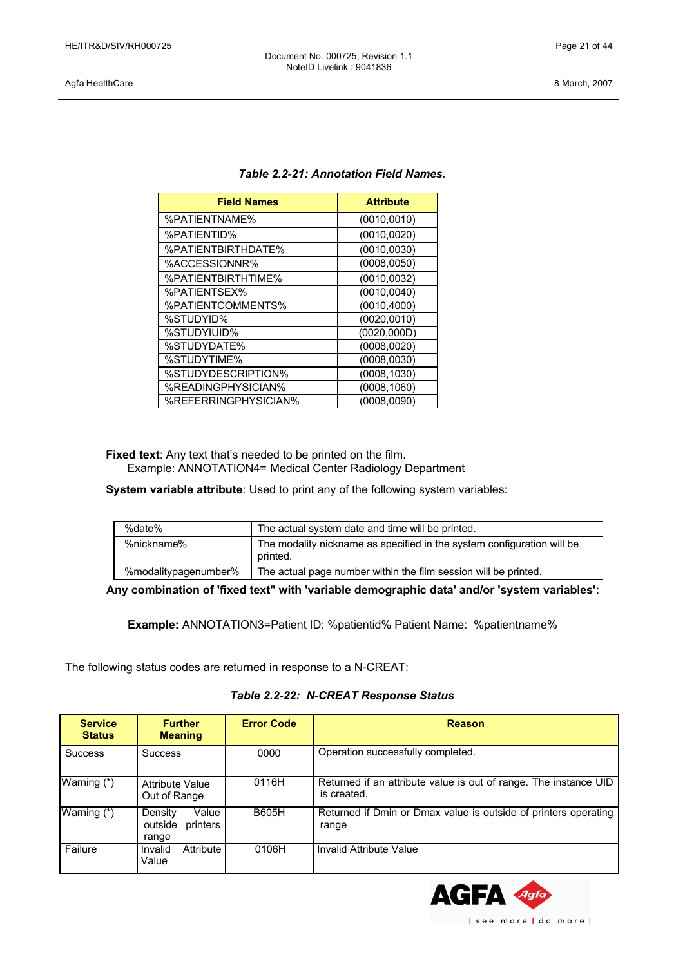### Agfa HealthCare 8 March, 2007

| <b>Field Names</b>   | <b>Attribute</b> |
|----------------------|------------------|
| %PATIENTNAME%        | (0010, 0010)     |
| %PATIENTID%          | (0010, 0020)     |
| %PATIENTBIRTHDATE%   | (0010, 0030)     |
| %ACCESSIONNR%        | (0008, 0050)     |
| %PATIENTBIRTHTIME%   | (0010, 0032)     |
| %PATIENTSEX%         | (0010, 0040)     |
| %PATIENTCOMMENTS%    | (0010, 4000)     |
| %STUDYID%            | (0020, 0010)     |
| %STUDYIUID%          | (0020, 000D)     |
| %STUDYDATE%          | (0008, 0020)     |
| %STUDYTIME%          | (0008, 0030)     |
| %STUDYDESCRIPTION%   | (0008, 1030)     |
| %READINGPHYSICIAN%   | (0008, 1060)     |
| %REFERRINGPHYSICIAN% | (0008, 0090)     |

### *Table 2.2-21: Annotation Field Names.*

**Fixed text**: Any text that's needed to be printed on the film. Example: ANNOTATION4= Medical Center Radiology Department

**System variable attribute**: Used to print any of the following system variables:

| %date%               | The actual system date and time will be printed.                                   |
|----------------------|------------------------------------------------------------------------------------|
| %nickname%           | The modality nickname as specified in the system configuration will be<br>printed. |
| %modalitypagenumber% | The actual page number within the film session will be printed.                    |

**Any combination of 'fixed text'' with 'variable demographic data' and/or 'system variables':**

**Example:** ANNOTATION3=Patient ID: %patientid% Patient Name: %patientname%

The following status codes are returned in response to a N-CREAT:

| Table 2.2-22: N-CREAT Response Status |  |  |  |
|---------------------------------------|--|--|--|
|---------------------------------------|--|--|--|

| <b>Service</b><br><b>Status</b> | <b>Further</b><br><b>Meaning</b>                 | <b>Error Code</b> | <b>Reason</b>                                                                   |
|---------------------------------|--------------------------------------------------|-------------------|---------------------------------------------------------------------------------|
| <b>Success</b>                  | <b>Success</b>                                   | 0000              | Operation successfully completed.                                               |
| Warning (*)                     | <b>Attribute Value</b><br>Out of Range           | 0116H             | Returned if an attribute value is out of range. The instance UID<br>is created. |
| Warning (*)                     | Density<br>Value<br>printers<br>outside<br>range | <b>B605H</b>      | Returned if Dmin or Dmax value is outside of printers operating<br>range        |
| Failure                         | Attribute<br>Invalid<br>Value                    | 0106H             | Invalid Attribute Value                                                         |

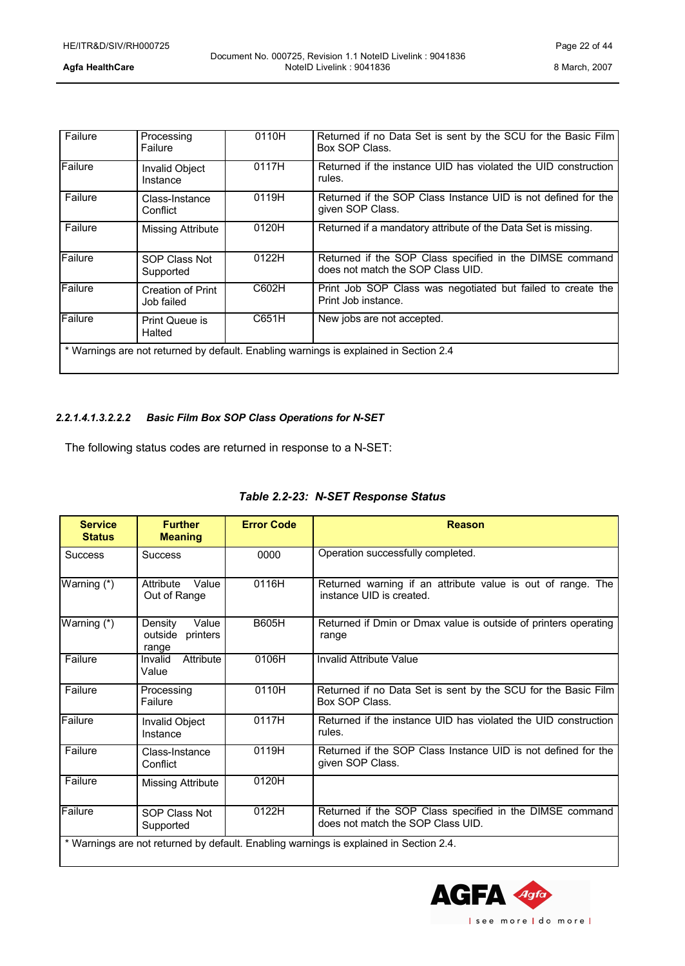| Failure | Processing<br>Failure           | 0110H | Returned if no Data Set is sent by the SCU for the Basic Film<br>Box SOP Class.               |
|---------|---------------------------------|-------|-----------------------------------------------------------------------------------------------|
| Failure | Invalid Object<br>Instance      | 0117H | Returned if the instance UID has violated the UID construction<br>rules.                      |
| Failure | Class-Instance<br>Conflict      | 0119H | Returned if the SOP Class Instance UID is not defined for the<br>given SOP Class.             |
| Failure | Missing Attribute               | 0120H | Returned if a mandatory attribute of the Data Set is missing.                                 |
| Failure | SOP Class Not<br>Supported      | 0122H | Returned if the SOP Class specified in the DIMSE command<br>does not match the SOP Class UID. |
| Failure | Creation of Print<br>Job failed | C602H | Print Job SOP Class was negotiated but failed to create the<br>Print Job instance.            |
| Failure | Print Queue is<br>Halted        | C651H | New jobs are not accepted.                                                                    |
|         |                                 |       | * Warnings are not returned by default. Enabling warnings is explained in Section 2.4         |

### *2.2.1.4.1.3.2.2.2 Basic Film Box SOP Class Operations for N-SET*

The following status codes are returned in response to a N-SET:

| <b>Service</b><br><b>Status</b> | <b>Further</b><br><b>Meaning</b>                 | <b>Error Code</b> | <b>Reason</b>                                                                                 |
|---------------------------------|--------------------------------------------------|-------------------|-----------------------------------------------------------------------------------------------|
| <b>Success</b>                  | <b>Success</b>                                   | 0000              | Operation successfully completed.                                                             |
| Warning (*)                     | Value<br>Attribute<br>Out of Range               | 0116H             | Returned warning if an attribute value is out of range. The<br>instance UID is created.       |
| Warning (*)                     | Value<br>Density<br>printers<br>outside<br>range | <b>B605H</b>      | Returned if Dmin or Dmax value is outside of printers operating<br>range                      |
| Failure                         | Attribute<br>Invalid<br>Value                    | 0106H             | Invalid Attribute Value                                                                       |
| Failure                         | Processing<br>Failure                            | 0110H             | Returned if no Data Set is sent by the SCU for the Basic Film<br><b>Box SOP Class.</b>        |
| Failure                         | <b>Invalid Object</b><br>Instance                | 0117H             | Returned if the instance UID has violated the UID construction<br>rules.                      |
| Failure                         | Class-Instance<br>Conflict                       | 0119H             | Returned if the SOP Class Instance UID is not defined for the<br>given SOP Class.             |
| Failure                         | Missing Attribute                                | 0120H             |                                                                                               |
| Failure                         | SOP Class Not<br>Supported                       | 0122H             | Returned if the SOP Class specified in the DIMSE command<br>does not match the SOP Class UID. |
|                                 |                                                  |                   | * Warnings are not returned by default. Enabling warnings is explained in Section 2.4.        |

### *Table 2.2-23: N-SET Response Status*

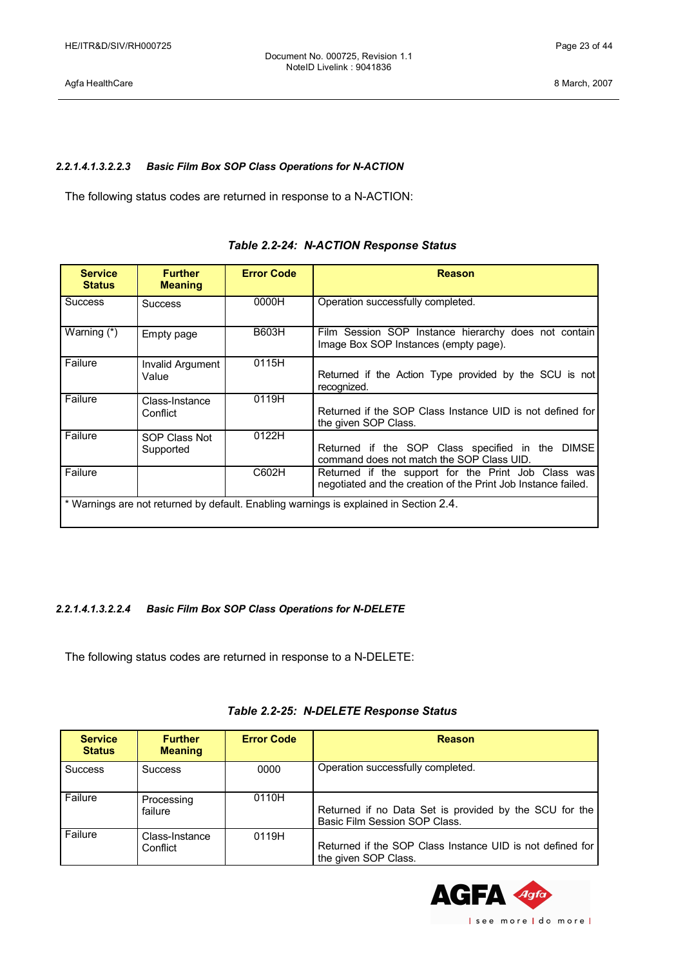Agfa HealthCare 8 March, 2007

### *2.2.1.4.1.3.2.2.3 Basic Film Box SOP Class Operations for N-ACTION*

The following status codes are returned in response to a N-ACTION:

| <b>Service</b><br><b>Status</b> | <b>Further</b><br><b>Meaning</b> | <b>Error Code</b> | <b>Reason</b>                                                                                                        |
|---------------------------------|----------------------------------|-------------------|----------------------------------------------------------------------------------------------------------------------|
| <b>Success</b>                  | <b>Success</b>                   | 0000H             | Operation successfully completed.                                                                                    |
| Warning (*)                     | Empty page                       | <b>B603H</b>      | Film Session SOP Instance hierarchy does not contain<br>Image Box SOP Instances (empty page).                        |
| Failure                         | Invalid Argument<br>Value        | 0115H             | Returned if the Action Type provided by the SCU is not<br>recognized.                                                |
| Failure                         | Class-Instance<br>Conflict       | 0119H             | Returned if the SOP Class Instance UID is not defined for<br>the given SOP Class.                                    |
| Failure                         | SOP Class Not<br>Supported       | 0122H             | Returned if the SOP Class specified in the DIMSE<br>command does not match the SOP Class UID.                        |
| Failure                         |                                  | C602H             | Returned if the support for the Print Job Class was<br>negotiated and the creation of the Print Job Instance failed. |
|                                 |                                  |                   | * Warnings are not returned by default. Enabling warnings is explained in Section 2.4.                               |

### *Table 2.2-24: N-ACTION Response Status*

### *2.2.1.4.1.3.2.2.4 Basic Film Box SOP Class Operations for N-DELETE*

The following status codes are returned in response to a N-DELETE:

| <b>Service</b><br><b>Status</b> | <b>Further</b><br><b>Meaning</b> | <b>Error Code</b> | Reason                                                                                  |
|---------------------------------|----------------------------------|-------------------|-----------------------------------------------------------------------------------------|
| <b>Success</b>                  | <b>Success</b>                   | 0000              | Operation successfully completed.                                                       |
| Failure                         | Processing<br>failure            | 0110H             | Returned if no Data Set is provided by the SCU for the<br>Basic Film Session SOP Class. |
| Failure                         | Class-Instance<br>Conflict       | 0119H             | Returned if the SOP Class Instance UID is not defined for<br>the given SOP Class.       |

### *Table 2.2-25: N-DELETE Response Status*

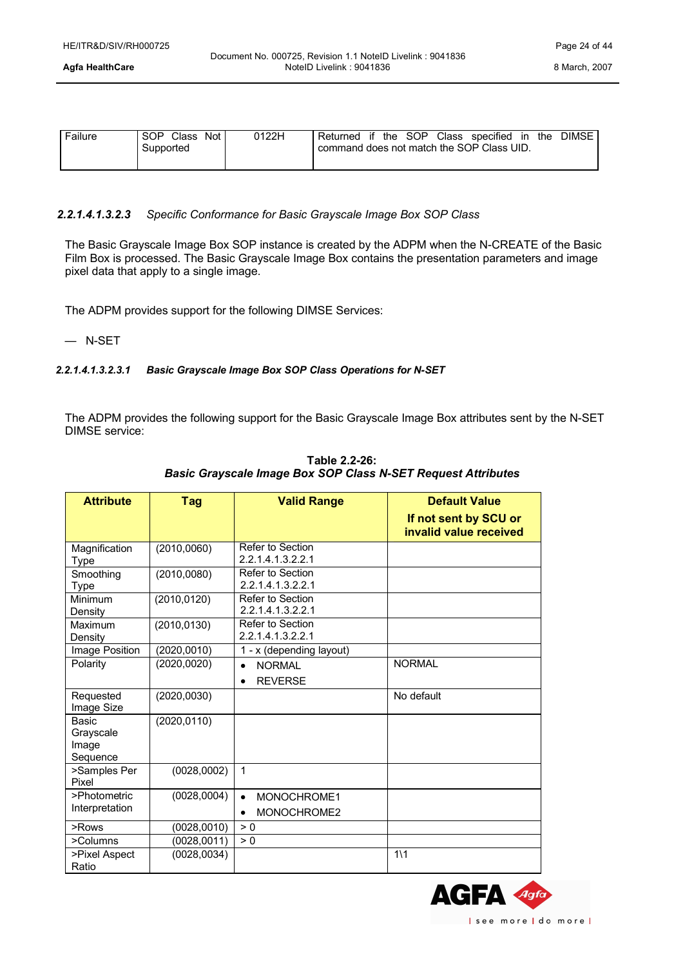| Failure | SOP.<br>Class<br>Not | 0122H | Returned                                  | if | the | SOP | Class | specified | in | the | <b>DIMSE</b> |
|---------|----------------------|-------|-------------------------------------------|----|-----|-----|-------|-----------|----|-----|--------------|
|         | Supported            |       | command does not match the SOP Class UID. |    |     |     |       |           |    |     |              |
|         |                      |       |                                           |    |     |     |       |           |    |     |              |

### *2.2.1.4.1.3.2.3 Specific Conformance for Basic Grayscale Image Box SOP Class*

The Basic Grayscale Image Box SOP instance is created by the ADPM when the N-CREATE of the Basic Film Box is processed. The Basic Grayscale Image Box contains the presentation parameters and image pixel data that apply to a single image.

The ADPM provides support for the following DIMSE Services:

— N-SET

### *2.2.1.4.1.3.2.3.1 Basic Grayscale Image Box SOP Class Operations for N-SET*

The ADPM provides the following support for the Basic Grayscale Image Box attributes sent by the N-SET DIMSE service:

| <b>Attribute</b>                        | Tag          | <b>Valid Range</b>                                        | <b>Default Value</b><br>If not sent by SCU or |
|-----------------------------------------|--------------|-----------------------------------------------------------|-----------------------------------------------|
|                                         |              |                                                           | invalid value received                        |
| Magnification<br>Type                   | (2010, 0060) | Refer to Section<br>2.2.1.4.1.3.2.2.1                     |                                               |
| Smoothing<br><b>Type</b>                | (2010, 0080) | Refer to Section<br>2.2.1.4.1.3.2.2.1                     |                                               |
| Minimum<br>Density                      | (2010, 0120) | Refer to Section<br>2.2.1.4.1.3.2.2.1                     |                                               |
| Maximum<br>Density                      | (2010, 0130) | Refer to Section<br>2.2.1.4.1.3.2.2.1                     |                                               |
| Image Position                          | (2020, 0010) | 1 - x (depending layout)                                  |                                               |
| Polarity                                | (2020, 0020) | <b>NORMAL</b><br>$\bullet$<br><b>REVERSE</b><br>$\bullet$ | <b>NORMAL</b>                                 |
| Requested<br>Image Size                 | (2020, 0030) |                                                           | No default                                    |
| Basic<br>Grayscale<br>Image<br>Sequence | (2020, 0110) |                                                           |                                               |
| >Samples Per<br>Pixel                   | (0028, 0002) | 1                                                         |                                               |
| >Photometric<br>Interpretation          | (0028, 0004) | MONOCHROME1<br>$\bullet$<br>MONOCHROME2<br>٠              |                                               |
| $>$ Rows                                | (0028, 0010) | > 0                                                       |                                               |
| >Columns                                | (0028, 0011) | > 0                                                       |                                               |
| >Pixel Aspect<br>Ratio                  | (0028, 0034) |                                                           | $1\backslash 1$                               |

**Table 2.2-26:** *Basic Grayscale Image Box SOP Class N-SET Request Attributes*

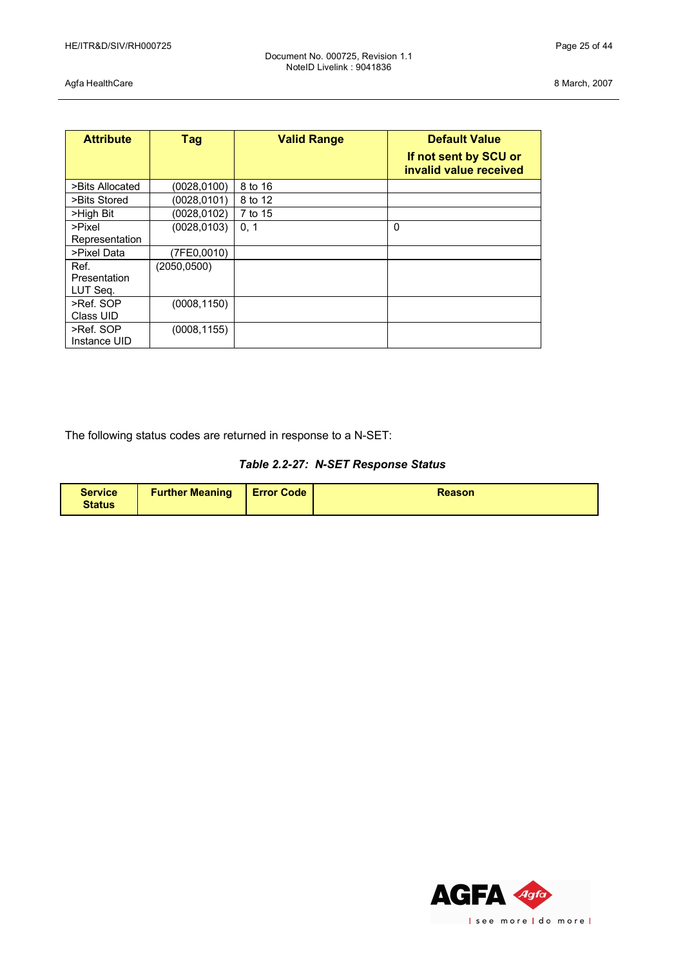Agfa HealthCare 8 March, 2007

| <b>Attribute</b>                        | Tag                         | <b>Valid Range</b> | <b>Default Value</b><br>If not sent by SCU or<br>invalid value received |
|-----------------------------------------|-----------------------------|--------------------|-------------------------------------------------------------------------|
| >Bits Allocated                         | (0028, 0100)                | 8 to 16            |                                                                         |
| >Bits Stored                            | (0028,0101)                 | 8 to 12            |                                                                         |
| >High Bit                               | (0028,0102)                 | 7 to 15            |                                                                         |
| >Pixel<br>Representation<br>>Pixel Data | (0028, 0103)                | 0, 1               | $\mathbf 0$                                                             |
| Ref.<br>Presentation<br>LUT Seq.        | (7FE0,0010)<br>(2050, 0500) |                    |                                                                         |
| >Ref. SOP<br>Class UID                  | (0008, 1150)                |                    |                                                                         |
| >Ref. SOP<br>Instance UID               | (0008, 1155)                |                    |                                                                         |

The following status codes are returned in response to a N-SET:

| Table 2.2-27: N-SET Response Status |  |  |  |
|-------------------------------------|--|--|--|
|-------------------------------------|--|--|--|

| <b>Service</b><br><b>Status</b> | <b>Further Meaning   Error Code</b> |  | <b>Reason</b> |
|---------------------------------|-------------------------------------|--|---------------|
|---------------------------------|-------------------------------------|--|---------------|

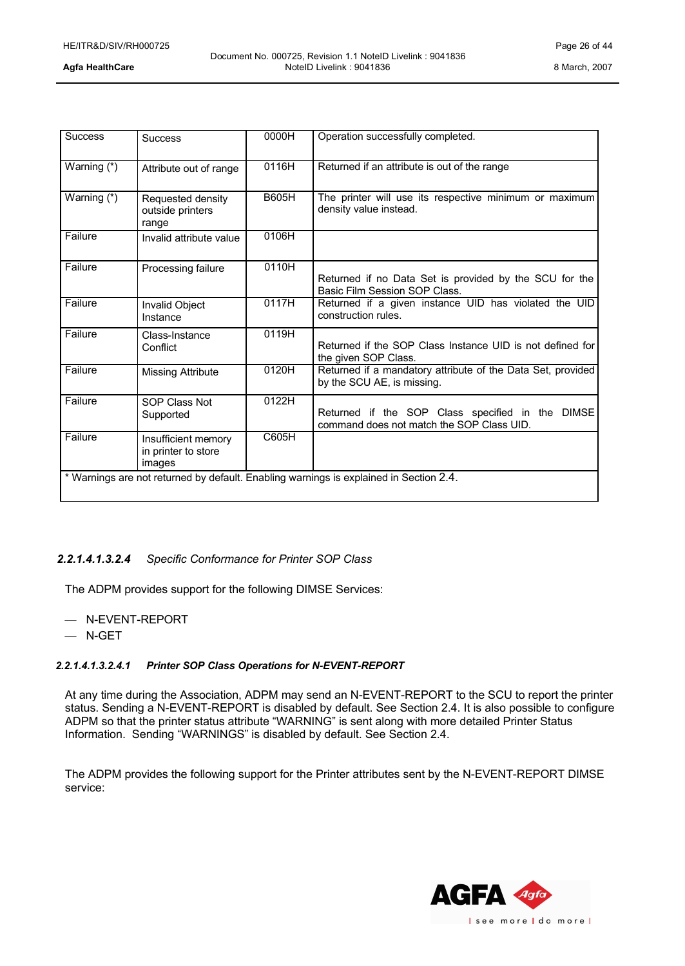| <b>Success</b> | <b>Success</b>                                       | 0000H        | Operation successfully completed.                                                             |
|----------------|------------------------------------------------------|--------------|-----------------------------------------------------------------------------------------------|
| Warning (*)    | Attribute out of range                               | 0116H        | Returned if an attribute is out of the range                                                  |
| Warning (*)    | Requested density<br>outside printers<br>range       | <b>B605H</b> | The printer will use its respective minimum or maximum<br>density value instead.              |
| Failure        | Invalid attribute value                              | 0106H        |                                                                                               |
| Failure        | Processing failure                                   | 0110H        | Returned if no Data Set is provided by the SCU for the<br>Basic Film Session SOP Class.       |
| Failure        | Invalid Object<br>Instance                           | 0117H        | Returned if a given instance UID has violated the UID<br>construction rules.                  |
| Failure        | Class-Instance<br>Conflict                           | 0119H        | Returned if the SOP Class Instance UID is not defined for<br>the given SOP Class.             |
| Failure        | <b>Missing Attribute</b>                             | 0120H        | Returned if a mandatory attribute of the Data Set, provided<br>by the SCU AE, is missing.     |
| Failure        | <b>SOP Class Not</b><br>Supported                    | 0122H        | Returned if the SOP Class specified in the DIMSE<br>command does not match the SOP Class UID. |
| Failure        | Insufficient memory<br>in printer to store<br>images | C605H        |                                                                                               |
|                |                                                      |              | * Warnings are not returned by default. Enabling warnings is explained in Section 2.4.        |

### *2.2.1.4.1.3.2.4 Specific Conformance for Printer SOP Class*

The ADPM provides support for the following DIMSE Services:

- N-EVENT-REPORT
- N-GET

### *2.2.1.4.1.3.2.4.1 Printer SOP Class Operations for N-EVENT-REPORT*

At any time during the Association, ADPM may send an N-EVENT-REPORT to the SCU to report the printer status. Sending a N-EVENT-REPORT is disabled by default. See Section 2.4. It is also possible to configure ADPM so that the printer status attribute "WARNING" is sent along with more detailed Printer Status Information. Sending "WARNINGS" is disabled by default. See Section 2.4.

The ADPM provides the following support for the Printer attributes sent by the N-EVENT-REPORT DIMSE service:

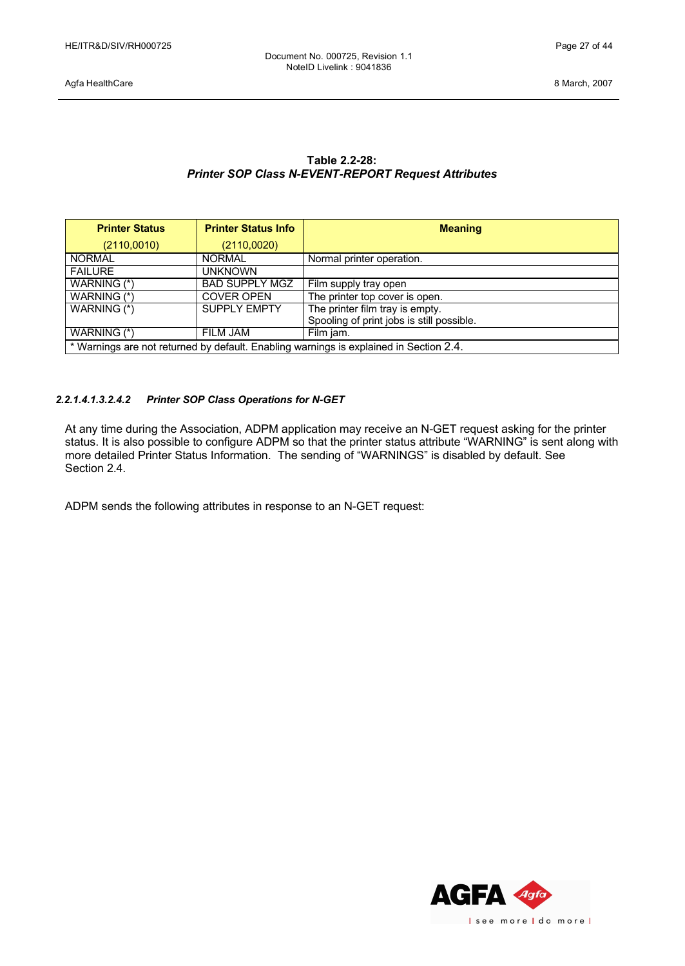| Table 2.2-28:                                              |
|------------------------------------------------------------|
| <b>Printer SOP Class N-EVENT-REPORT Request Attributes</b> |

| <b>Printer Status</b>                                                                  | <b>Printer Status Info</b> | <b>Meaning</b>                            |  |  |
|----------------------------------------------------------------------------------------|----------------------------|-------------------------------------------|--|--|
| (2110,0010)                                                                            | (2110,0020)                |                                           |  |  |
| <b>NORMAL</b>                                                                          | <b>NORMAL</b>              | Normal printer operation.                 |  |  |
| <b>FAILURE</b>                                                                         | unknown                    |                                           |  |  |
| WARNING (*)                                                                            | <b>BAD SUPPLY MGZ</b>      | Film supply tray open                     |  |  |
| WARNING (*)                                                                            | <b>COVER OPEN</b>          | The printer top cover is open.            |  |  |
| WARNING (*)                                                                            | <b>SUPPLY EMPTY</b>        | The printer film tray is empty.           |  |  |
|                                                                                        |                            | Spooling of print jobs is still possible. |  |  |
| WARNING (*)                                                                            | FILM JAM                   | Film jam.                                 |  |  |
| * Warnings are not returned by default. Enabling warnings is explained in Section 2.4. |                            |                                           |  |  |

### *2.2.1.4.1.3.2.4.2 Printer SOP Class Operations for N-GET*

At any time during the Association, ADPM application may receive an N-GET request asking for the printer status. It is also possible to configure ADPM so that the printer status attribute "WARNING" is sent along with more detailed Printer Status Information. The sending of "WARNINGS" is disabled by default. See Section 2.4.

ADPM sends the following attributes in response to an N-GET request:

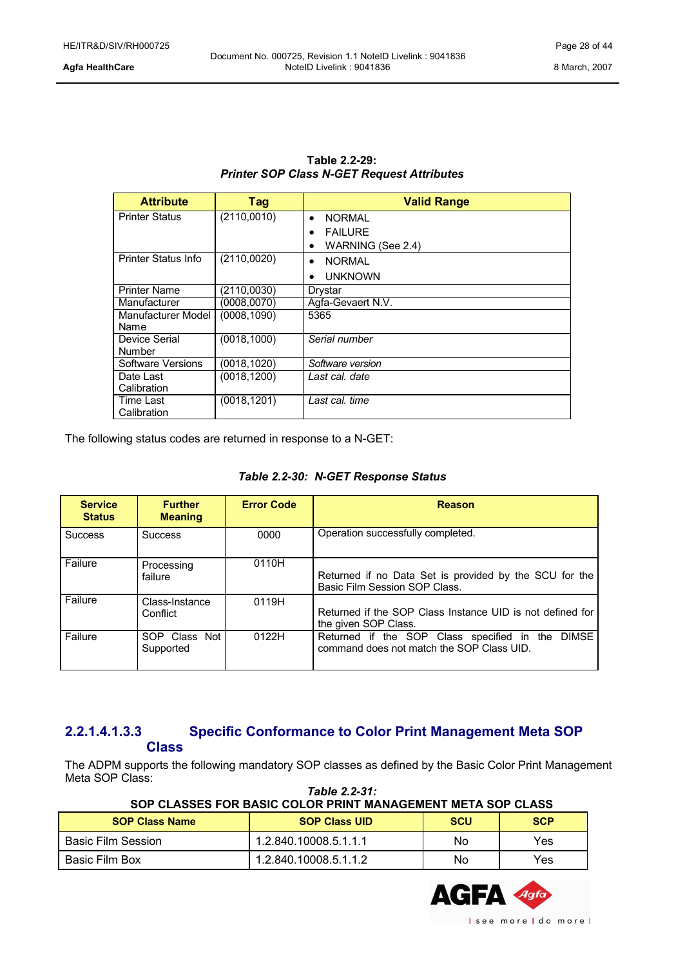| Table 2.2-29:                                     |
|---------------------------------------------------|
| <b>Printer SOP Class N-GET Request Attributes</b> |

| <b>Attribute</b>      | <b>Tag</b>   | <b>Valid Range</b>         |  |
|-----------------------|--------------|----------------------------|--|
| <b>Printer Status</b> | (2110,0010)  | <b>NORMAL</b><br>$\bullet$ |  |
|                       |              | <b>FAILURF</b><br>٠        |  |
|                       |              | WARNING (See 2.4)<br>٠     |  |
| Printer Status Info   | (2110,0020)  | <b>NORMAL</b><br>$\bullet$ |  |
|                       |              | <b>UNKNOWN</b><br>٠        |  |
| <b>Printer Name</b>   | (2110,0030)  | Drystar                    |  |
| Manufacturer          | (0008, 0070) | Agfa-Gevaert N.V.          |  |
| Manufacturer Model    | (0008, 1090) | 5365                       |  |
| Name                  |              |                            |  |
| Device Serial         | (0018, 1000) | Serial number              |  |
| Number                |              |                            |  |
| Software Versions     | (0018, 1020) | Software version           |  |
| Date Last             | (0018, 1200) | Last cal. date             |  |
| Calibration           |              |                            |  |
| Time Last             | (0018, 1201) | Last cal. time             |  |
| Calibration           |              |                            |  |

The following status codes are returned in response to a N-GET:

| <b>Service</b><br><b>Status</b> | <b>Further</b><br><b>Meaning</b> | <b>Error Code</b> | <b>Reason</b>                                                                                 |
|---------------------------------|----------------------------------|-------------------|-----------------------------------------------------------------------------------------------|
| <b>Success</b>                  | <b>Success</b>                   | 0000              | Operation successfully completed.                                                             |
| Failure                         | Processing<br>failure            | 0110H             | Returned if no Data Set is provided by the SCU for the<br>Basic Film Session SOP Class.       |
| Failure                         | Class-Instance<br>Conflict       | 0119H             | Returned if the SOP Class Instance UID is not defined for<br>the given SOP Class.             |
| Failure                         | SOP Class Not<br>Supported       | 0122H             | Returned if the SOP Class specified in the DIMSE<br>command does not match the SOP Class UID. |

### <span id="page-27-0"></span>**2.2.1.4.1.3.3 Specific Conformance to Color Print Management Meta SOP Class**

The ADPM supports the following mandatory SOP classes as defined by the Basic Color Print Management Meta SOP Class: *Table 2.2-31:*

| SOP CLASSES FOR BASIC COLOR PRINT MANAGEMENT META SOP CLASS |                       |            |            |  |
|-------------------------------------------------------------|-----------------------|------------|------------|--|
| <b>SOP Class Name</b>                                       | <b>SOP Class UID</b>  | <b>SCU</b> | <b>SCP</b> |  |
| Basic Film Session                                          | 1.2.840.10008.5.1.1.1 | No         | Yes        |  |
| Basic Film Box                                              | 1.2.840.10008.5.1.1.2 | No         | Yes        |  |

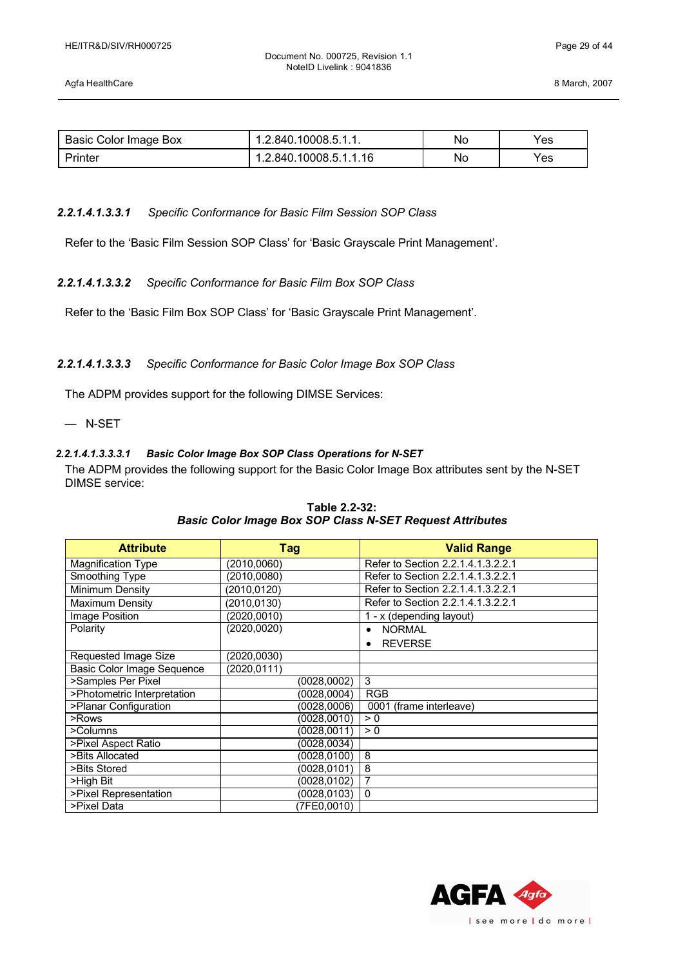Document No. 000725, Revision 1.1 NoteID Livelink : 9041836

| Basic Color Image Box | 1.2.840.10008.5.1.1.   | No | Yes |
|-----------------------|------------------------|----|-----|
| Printer               | 1.2.840.10008.5.1.1.16 | No | Yes |

### *2.2.1.4.1.3.3.1 Specific Conformance for Basic Film Session SOP Class*

Refer to the 'Basic Film Session SOP Class' for 'Basic Grayscale Print Management'.

### *2.2.1.4.1.3.3.2 Specific Conformance for Basic Film Box SOP Class*

Refer to the 'Basic Film Box SOP Class' for 'Basic Grayscale Print Management'.

### *2.2.1.4.1.3.3.3 Specific Conformance for Basic Color Image Box SOP Class*

The ADPM provides support for the following DIMSE Services:

— N-SET

### *2.2.1.4.1.3.3.3.1 Basic Color Image Box SOP Class Operations for N-SET*

The ADPM provides the following support for the Basic Color Image Box attributes sent by the N-SET DIMSE service:

| <b>Attribute</b>                  | <b>Tag</b>   | <b>Valid Range</b>                 |
|-----------------------------------|--------------|------------------------------------|
| <b>Magnification Type</b>         | (2010,0060)  | Refer to Section 2.2.1.4.1.3.2.2.1 |
| Smoothing Type                    | (2010, 0080) | Refer to Section 2.2.1.4.1.3.2.2.1 |
| Minimum Density                   | (2010,0120)  | Refer to Section 2.2.1.4.1.3.2.2.1 |
| Maximum Density                   | (2010.0130)  | Refer to Section 2.2.1.4.1.3.2.2.1 |
| <b>Image Position</b>             | (2020, 0010) | 1 - x (depending layout)           |
| Polarity                          | (2020, 0020) | <b>NORMAL</b><br>$\bullet$         |
|                                   |              | <b>REVERSE</b><br>$\bullet$        |
| Requested Image Size              | (2020, 0030) |                                    |
| <b>Basic Color Image Sequence</b> | (2020, 0111) |                                    |
| >Samples Per Pixel                | (0028, 0002) | 3                                  |
| >Photometric Interpretation       | (0028,0004)  | <b>RGB</b>                         |
| >Planar Configuration             | (0028,0006)  | 0001 (frame interleave)            |
| >Rows                             | (0028, 0010) | > 0                                |
| >Columns                          | (0028,0011)  | > 0                                |
| >Pixel Aspect Ratio               | (0028, 0034) |                                    |
| >Bits Allocated                   | (0028,0100)  | 8                                  |
| >Bits Stored                      | (0028,0101)  | 8                                  |
| >High Bit                         | (0028,0102)  | $\overline{7}$                     |
| >Pixel Representation             | (0028,0103)  | $\mathbf 0$                        |
| >Pixel Data                       | (7FE0,0010)  |                                    |

### **Table 2.2-32:** *Basic Color Image Box SOP Class N-SET Request Attributes*

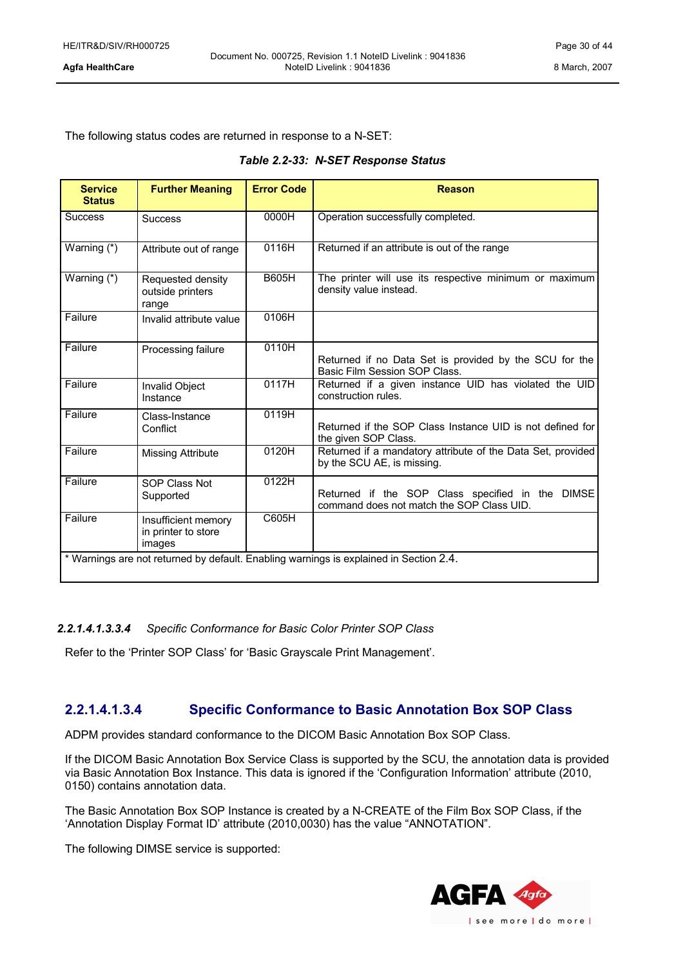The following status codes are returned in response to a N-SET:

|  |  |  | Table 2.2-33: N-SET Response Status |  |
|--|--|--|-------------------------------------|--|
|--|--|--|-------------------------------------|--|

| <b>Service</b><br><b>Status</b>                                                        | <b>Further Meaning</b>                               | <b>Error Code</b> | <b>Reason</b>                                                                                 |
|----------------------------------------------------------------------------------------|------------------------------------------------------|-------------------|-----------------------------------------------------------------------------------------------|
| <b>Success</b>                                                                         | <b>Success</b>                                       | 0000H             | Operation successfully completed.                                                             |
| Warning (*)                                                                            | Attribute out of range                               | 0116H             | Returned if an attribute is out of the range                                                  |
| Warning (*)                                                                            | Requested density<br>outside printers<br>range       | <b>B605H</b>      | The printer will use its respective minimum or maximum<br>density value instead.              |
| Failure                                                                                | Invalid attribute value                              | 0106H             |                                                                                               |
| Failure                                                                                | Processing failure                                   | 0110H             | Returned if no Data Set is provided by the SCU for the<br>Basic Film Session SOP Class.       |
| Failure                                                                                | Invalid Object<br>Instance                           | 0117H             | Returned if a given instance UID has violated the UID<br>construction rules.                  |
| Failure                                                                                | Class-Instance<br>Conflict                           | 0119H             | Returned if the SOP Class Instance UID is not defined for<br>the given SOP Class.             |
| Failure                                                                                | <b>Missing Attribute</b>                             | 0120H             | Returned if a mandatory attribute of the Data Set, provided<br>by the SCU AE, is missing.     |
| Failure                                                                                | <b>SOP Class Not</b><br>Supported                    | 0122H             | Returned if the SOP Class specified in the DIMSE<br>command does not match the SOP Class UID. |
| Failure                                                                                | Insufficient memory<br>in printer to store<br>images | C605H             |                                                                                               |
| * Warnings are not returned by default. Enabling warnings is explained in Section 2.4. |                                                      |                   |                                                                                               |

### *2.2.1.4.1.3.3.4 Specific Conformance for Basic Color Printer SOP Class*

Refer to the 'Printer SOP Class' for 'Basic Grayscale Print Management'.

### <span id="page-29-0"></span>**2.2.1.4.1.3.4 Specific Conformance to Basic Annotation Box SOP Class**

ADPM provides standard conformance to the DICOM Basic Annotation Box SOP Class.

If the DICOM Basic Annotation Box Service Class is supported by the SCU, the annotation data is provided via Basic Annotation Box Instance. This data is ignored if the 'Configuration Information' attribute (2010, 0150) contains annotation data.

The Basic Annotation Box SOP Instance is created by a N-CREATE of the Film Box SOP Class, if the 'Annotation Display Format ID' attribute (2010,0030) has the value "ANNOTATION".

The following DIMSE service is supported:

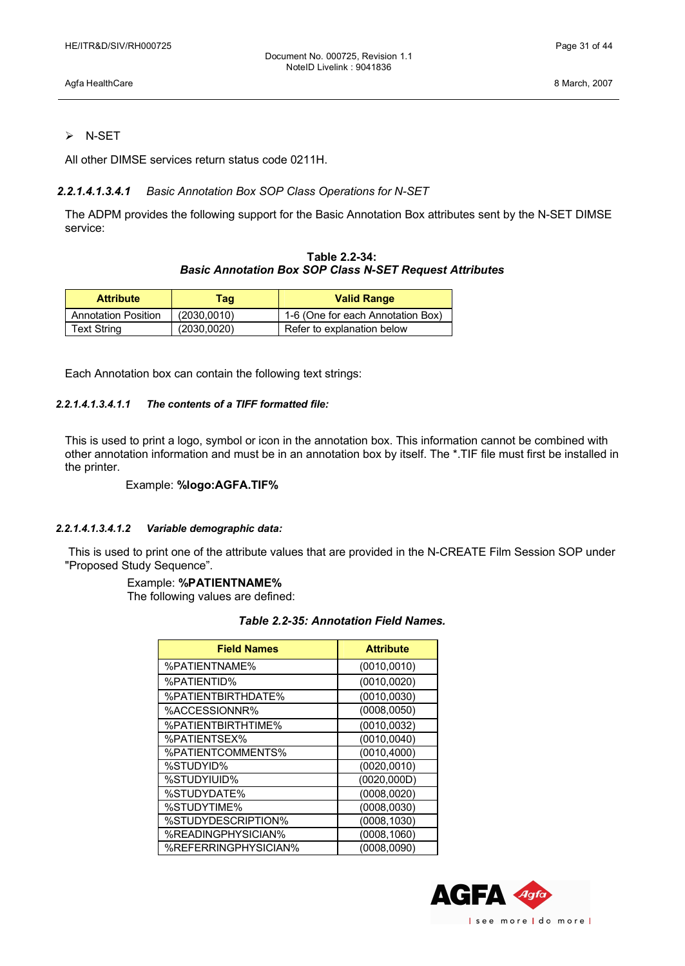Agfa HealthCare 8 March, 2007

### $\triangleright$  N-SET

All other DIMSE services return status code 0211H.

### *2.2.1.4.1.3.4.1 Basic Annotation Box SOP Class Operations for N-SET*

The ADPM provides the following support for the Basic Annotation Box attributes sent by the N-SET DIMSE service:

| Table 2.2-34:                                                  |
|----------------------------------------------------------------|
| <b>Basic Annotation Box SOP Class N-SET Request Attributes</b> |

| <b>Attribute</b>           | Taq          | <b>Valid Range</b>                |
|----------------------------|--------------|-----------------------------------|
| <b>Annotation Position</b> | (2030,0010)  | 1-6 (One for each Annotation Box) |
| Text String                | (2030, 0020) | Refer to explanation below        |

Each Annotation box can contain the following text strings:

### *2.2.1.4.1.3.4.1.1 The contents of a TIFF formatted file:*

This is used to print a logo, symbol or icon in the annotation box. This information cannot be combined with other annotation information and must be in an annotation box by itself. The \*.TIF file must first be installed in the printer.

### Example: **%logo:AGFA.TIF%**

### *2.2.1.4.1.3.4.1.2 Variable demographic data:*

This is used to print one of the attribute values that are provided in the N-CREATE Film Session SOP under "Proposed Study Sequence".

### Example: **%PATIENTNAME%**

The following values are defined:

### *Table 2.2-35: Annotation Field Names.*

| <b>Field Names</b>   | <b>Attribute</b> |
|----------------------|------------------|
| %PATIENTNAME%        | (0010, 0010)     |
| <b>%PATIENTID%</b>   | (0010, 0020)     |
| %PATIENTBIRTHDATE%   | (0010, 0030)     |
| %ACCESSIONNR%        | (0008, 0050)     |
| %PATIENTBIRTHTIME%   | (0010, 0032)     |
| %PATIENTSEX%         | (0010, 0040)     |
| %PATIENTCOMMENTS%    | (0010, 4000)     |
| %STUDYID%            | (0020, 0010)     |
| %STUDYIUID%          | (0020,000D)      |
| %STUDYDATE%          | (0008, 0020)     |
| %STUDYTIME%          | (0008, 0030)     |
| %STUDYDESCRIPTION%   | (0008, 1030)     |
| %READINGPHYSICIAN%   | (0008, 1060)     |
| %REFERRINGPHYSICIAN% | (0008, 0090)     |

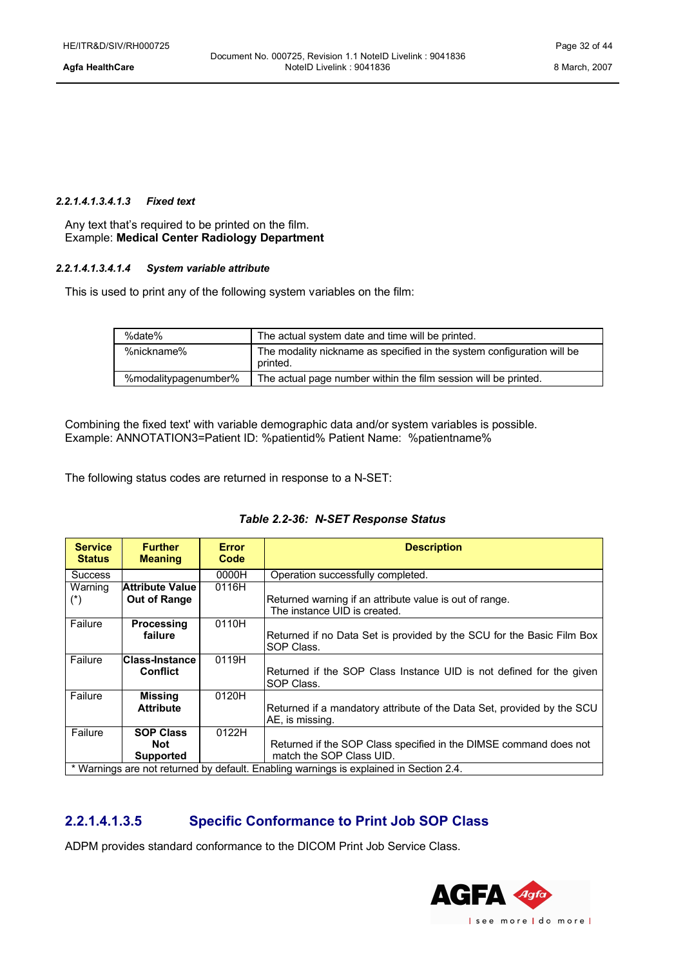### *2.2.1.4.1.3.4.1.3 Fixed text*

Any text that's required to be printed on the film. Example: **Medical Center Radiology Department**

### *2.2.1.4.1.3.4.1.4 System variable attribute*

This is used to print any of the following system variables on the film:

| %date%               | The actual system date and time will be printed.                                   |  |
|----------------------|------------------------------------------------------------------------------------|--|
| %nickname%           | The modality nickname as specified in the system configuration will be<br>printed. |  |
| %modalitypagenumber% | The actual page number within the film session will be printed.                    |  |

Combining the fixed text' with variable demographic data and/or system variables is possible. Example: ANNOTATION3=Patient ID: %patientid% Patient Name: %patientname%

The following status codes are returned in response to a N-SET:

| <b>Service</b><br><b>Status</b> | <b>Further</b><br><b>Meaning</b>                                                       | <b>Error</b><br>Code | <b>Description</b>                                                                      |
|---------------------------------|----------------------------------------------------------------------------------------|----------------------|-----------------------------------------------------------------------------------------|
| <b>Success</b>                  |                                                                                        | 0000H                | Operation successfully completed.                                                       |
| Warning                         | <b>Attribute Value</b>                                                                 | 0116H                |                                                                                         |
| $(*)$                           | Out of Range                                                                           |                      | Returned warning if an attribute value is out of range.<br>The instance UID is created. |
| Failure                         | <b>Processing</b>                                                                      | 0110H                |                                                                                         |
|                                 | failure                                                                                |                      | Returned if no Data Set is provided by the SCU for the Basic Film Box<br>SOP Class.     |
| Failure                         | <b>Class-Instance</b>                                                                  | 0119H                |                                                                                         |
|                                 | <b>Conflict</b>                                                                        |                      | Returned if the SOP Class Instance UID is not defined for the given<br>SOP Class.       |
| Failure                         | <b>Missing</b>                                                                         | 0120H                |                                                                                         |
|                                 | <b>Attribute</b>                                                                       |                      | Returned if a mandatory attribute of the Data Set, provided by the SCU                  |
|                                 |                                                                                        |                      | AE, is missing.                                                                         |
| Failure                         | <b>SOP Class</b>                                                                       | 0122H                |                                                                                         |
|                                 | Not                                                                                    |                      | Returned if the SOP Class specified in the DIMSE command does not                       |
|                                 | <b>Supported</b>                                                                       |                      | match the SOP Class UID.                                                                |
|                                 | * Warnings are not returned by default. Enabling warnings is explained in Section 2.4. |                      |                                                                                         |

### <span id="page-31-0"></span>**2.2.1.4.1.3.5 Specific Conformance to Print Job SOP Class**

ADPM provides standard conformance to the DICOM Print Job Service Class.

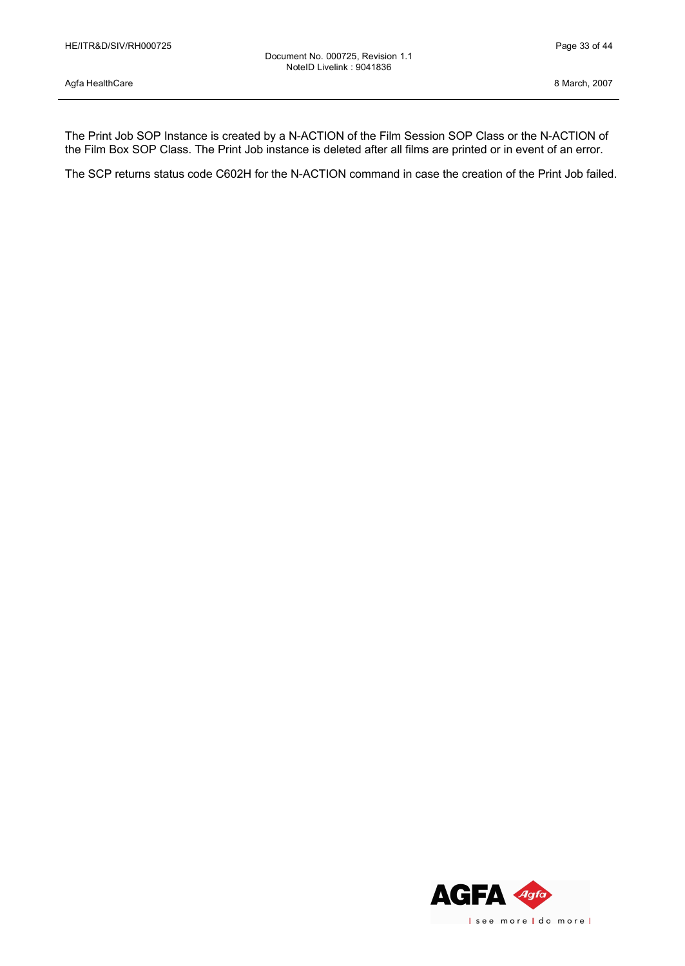The Print Job SOP Instance is created by a N-ACTION of the Film Session SOP Class or the N-ACTION of the Film Box SOP Class. The Print Job instance is deleted after all films are printed or in event of an error.

The SCP returns status code C602H for the N-ACTION command in case the creation of the Print Job failed.

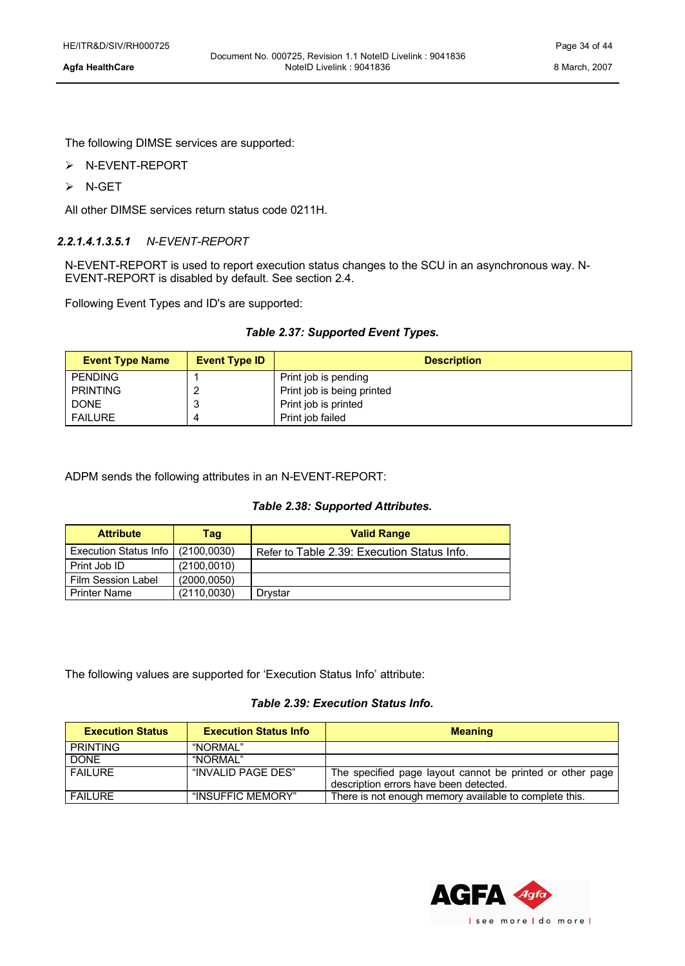The following DIMSE services are supported:

- Ø N-EVENT-REPORT
- $\triangleright$  N-GET

All other DIMSE services return status code 0211H.

### *2.2.1.4.1.3.5.1 N-EVENT-REPORT*

N-EVENT-REPORT is used to report execution status changes to the SCU in an asynchronous way. N-EVENT-REPORT is disabled by default. See section 2.4.

Following Event Types and ID's are supported:

### *Table 2.37: Supported Event Types.*

| <b>Event Type Name</b> | <b>Event Type ID</b> | <b>Description</b>         |
|------------------------|----------------------|----------------------------|
| <b>PENDING</b>         |                      | Print job is pending       |
| <b>PRINTING</b>        |                      | Print job is being printed |
| <b>DONE</b>            |                      | Print job is printed       |
| <b>FAILURE</b>         |                      | Print job failed           |

ADPM sends the following attributes in an N-EVENT-REPORT:

### *Table 2.38: Supported Attributes.*

| <b>Attribute</b>      | Taq          | <b>Valid Range</b>                          |
|-----------------------|--------------|---------------------------------------------|
| Execution Status Info | (2100, 0030) | Refer to Table 2.39: Execution Status Info. |
| Print Job ID          | (2100.0010)  |                                             |
| Film Session Label    | (2000.0050)  |                                             |
| <b>Printer Name</b>   | (2110,0030)  | Drvstar                                     |

The following values are supported for 'Execution Status Info' attribute:

### *Table 2.39: Execution Status Info.*

<span id="page-33-0"></span>

| <b>Execution Status</b> | <b>Execution Status Info</b> | <b>Meaning</b>                                                                                      |
|-------------------------|------------------------------|-----------------------------------------------------------------------------------------------------|
| <b>PRINTING</b>         | "NORMAI"                     |                                                                                                     |
| <b>DONE</b>             | "NORMAI"                     |                                                                                                     |
| <b>FAILURE</b>          | "INVALID PAGE DES"           | The specified page layout cannot be printed or other page<br>description errors have been detected. |
| <b>FAILURE</b>          | "INSUFFIC MEMORY"            | There is not enough memory available to complete this.                                              |

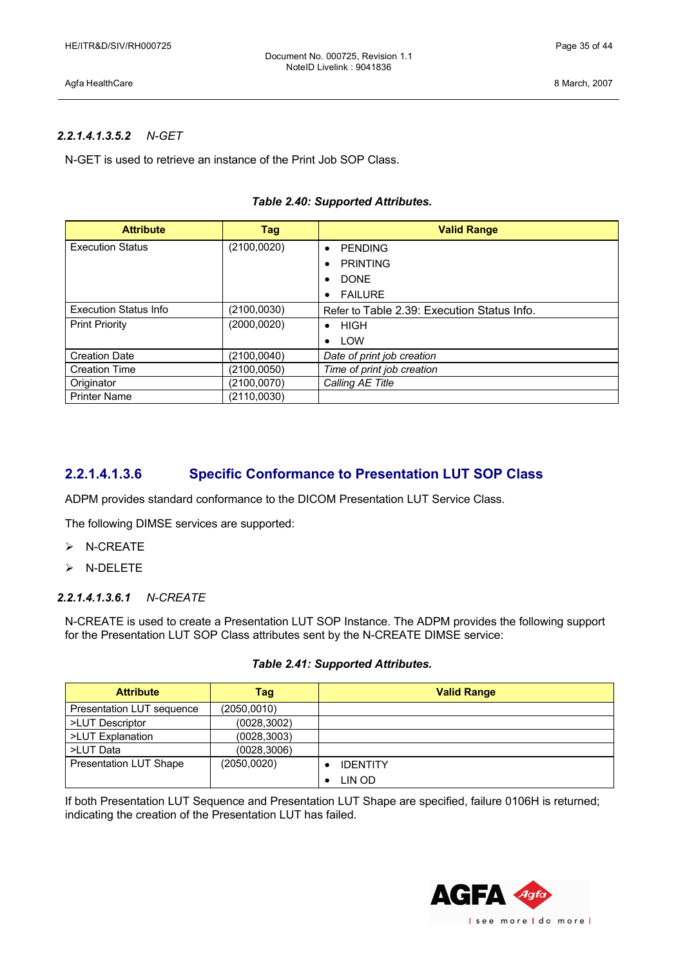### *2.2.1.4.1.3.5.2 N-GET*

N-GET is used to retrieve an instance of the Print Job SOP Class.

### *Table 2.40: Supported Attributes.*

| <b>Attribute</b>             | Tag          | <b>Valid Range</b>                          |
|------------------------------|--------------|---------------------------------------------|
| <b>Execution Status</b>      | (2100,0020)  | <b>PENDING</b><br>$\bullet$                 |
|                              |              | <b>PRINTING</b><br>$\bullet$                |
|                              |              | <b>DONE</b><br>٠                            |
|                              |              | <b>FAILURE</b><br>$\bullet$                 |
| <b>Execution Status Info</b> | (2100,0030)  | Refer to Table 2.39: Execution Status Info. |
| <b>Print Priority</b>        | (2000, 0020) | HIGH<br>$\bullet$                           |
|                              |              | LOW<br>$\bullet$                            |
| <b>Creation Date</b>         | (2100, 0040) | Date of print job creation                  |
| <b>Creation Time</b>         | (2100,0050)  | Time of print job creation                  |
| Originator                   | (2100,0070)  | Calling AE Title                            |
| <b>Printer Name</b>          | (2110,0030)  |                                             |

### <span id="page-34-0"></span>**2.2.1.4.1.3.6 Specific Conformance to Presentation LUT SOP Class**

ADPM provides standard conformance to the DICOM Presentation LUT Service Class.

The following DIMSE services are supported:

- $\triangleright$  N-CREATE
- Ø N-DELETE

### *2.2.1.4.1.3.6.1 N-CREATE*

N-CREATE is used to create a Presentation LUT SOP Instance. The ADPM provides the following support for the Presentation LUT SOP Class attributes sent by the N-CREATE DIMSE service:

### *Table 2.41: Supported Attributes.*

| <b>Attribute</b>              | Tag          | <b>Valid Range</b> |
|-------------------------------|--------------|--------------------|
| Presentation LUT sequence     | (2050,0010)  |                    |
| >LUT Descriptor               | (0028,3002)  |                    |
| >LUT Explanation              | (0028, 3003) |                    |
| >LUT Data                     | (0028, 3006) |                    |
| <b>Presentation LUT Shape</b> | (2050,0020)  | <b>IDENTITY</b>    |
|                               |              | LIN OD             |

If both Presentation LUT Sequence and Presentation LUT Shape are specified, failure 0106H is returned; indicating the creation of the Presentation LUT has failed.

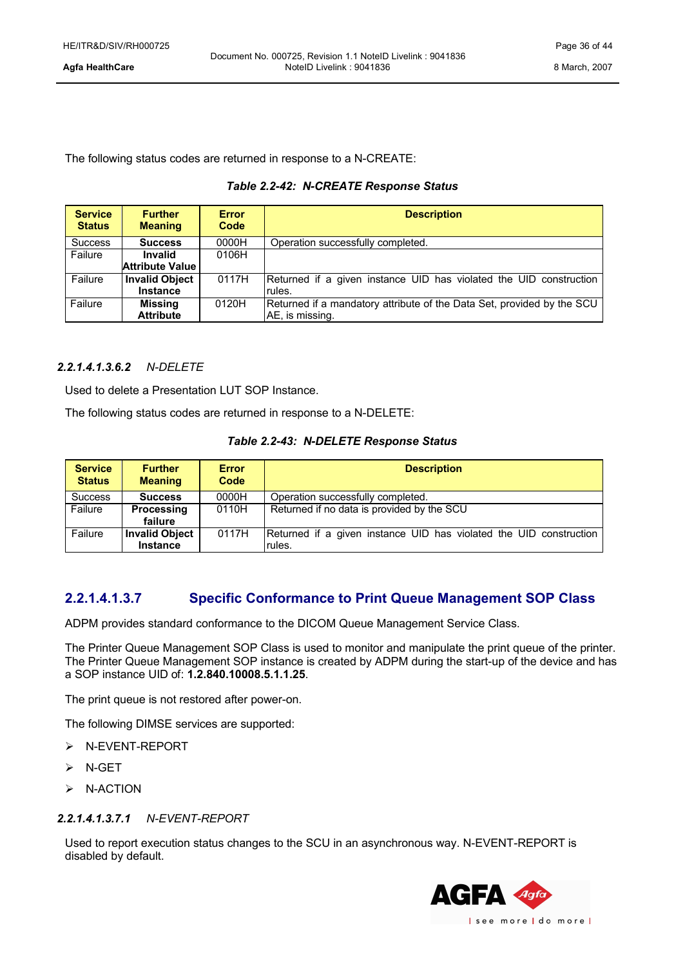The following status codes are returned in response to a N-CREATE:

### *Table 2.2-42: N-CREATE Response Status*

| <b>Service</b><br><b>Status</b> | <b>Further</b><br><b>Meaning</b>         | <b>Error</b><br>Code | <b>Description</b>                                                                        |
|---------------------------------|------------------------------------------|----------------------|-------------------------------------------------------------------------------------------|
| <b>Success</b>                  | <b>Success</b>                           | 0000H                | Operation successfully completed.                                                         |
| Failure                         | <b>Invalid</b><br><b>Attribute Value</b> | 0106H                |                                                                                           |
| Failure                         | <b>Invalid Object</b><br><b>Instance</b> | 0117H                | Returned if a given instance UID has violated the UID construction<br>rules.              |
| Failure                         | <b>Missing</b><br><b>Attribute</b>       | 0120H                | Returned if a mandatory attribute of the Data Set, provided by the SCU<br>AE, is missing. |

### *2.2.1.4.1.3.6.2 N-DELETE*

Used to delete a Presentation LUT SOP Instance.

The following status codes are returned in response to a N-DELETE:

### *Table 2.2-43: N-DELETE Response Status*

| <b>Service</b><br><b>Status</b> | <b>Further</b><br><b>Meaning</b> | <b>Error</b><br>Code | <b>Description</b>                                                 |
|---------------------------------|----------------------------------|----------------------|--------------------------------------------------------------------|
| <b>Success</b>                  | <b>Success</b>                   | 0000H                | Operation successfully completed.                                  |
| Failure                         | Processing                       | 0110H                | Returned if no data is provided by the SCU                         |
|                                 | failure                          |                      |                                                                    |
| Failure                         | <b>Invalid Object</b>            | 0117H                | Returned if a given instance UID has violated the UID construction |
|                                 | <b>Instance</b>                  |                      | rules.                                                             |

### <span id="page-35-0"></span>**2.2.1.4.1.3.7 Specific Conformance to Print Queue Management SOP Class**

ADPM provides standard conformance to the DICOM Queue Management Service Class.

The Printer Queue Management SOP Class is used to monitor and manipulate the print queue of the printer. The Printer Queue Management SOP instance is created by ADPM during the start-up of the device and has a SOP instance UID of: **1.2.840.10008.5.1.1.25**.

The print queue is not restored after power-on.

The following DIMSE services are supported:

- Ø N-EVENT-REPORT
- $\triangleright$  N-GET
- $\triangleright$  N-ACTION

### *2.2.1.4.1.3.7.1 N-EVENT-REPORT*

Used to report execution status changes to the SCU in an asynchronous way. N-EVENT-REPORT is disabled by default.

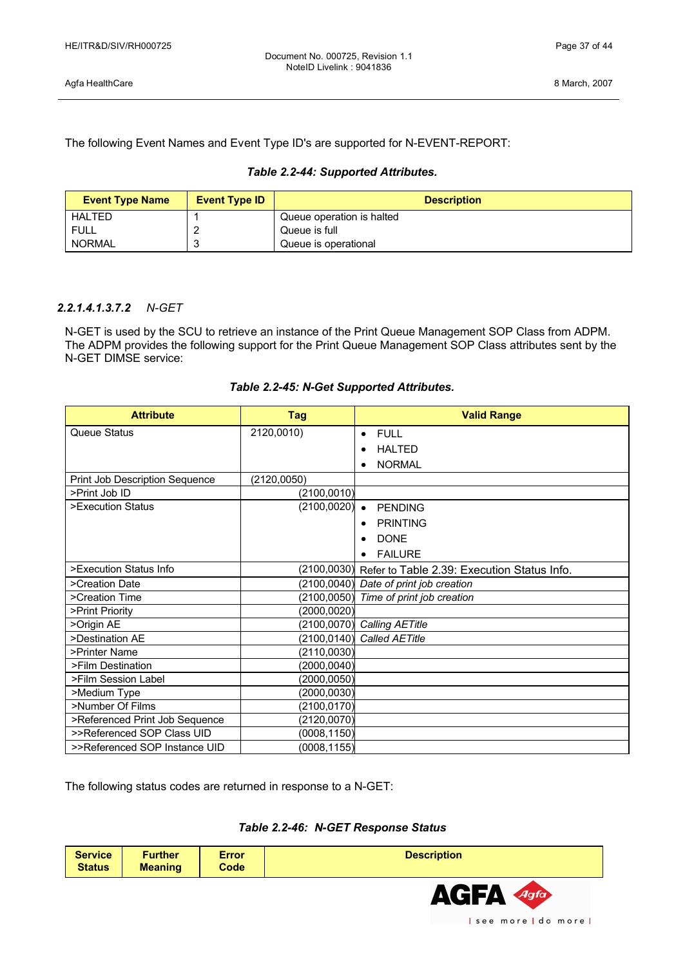The following Event Names and Event Type ID's are supported for N-EVENT-REPORT:

### *Table 2.2-44: Supported Attributes.*

| <b>Event Type Name</b> | <b>Event Type ID</b> | <b>Description</b>        |
|------------------------|----------------------|---------------------------|
| <b>HALTED</b>          |                      | Queue operation is halted |
| <b>FULL</b>            |                      | Queue is full             |
| <b>NORMAL</b>          |                      | Queue is operational      |

### *2.2.1.4.1.3.7.2 N-GET*

N-GET is used by the SCU to retrieve an instance of the Print Queue Management SOP Class from ADPM. The ADPM provides the following support for the Print Queue Management SOP Class attributes sent by the N-GET DIMSE service:

| <b>Attribute</b>               | Tag          | <b>Valid Range</b>                          |  |
|--------------------------------|--------------|---------------------------------------------|--|
| Queue Status                   | 2120,0010)   | <b>FULL</b><br>$\bullet$                    |  |
|                                |              | <b>HALTED</b><br>$\epsilon$                 |  |
|                                |              | <b>NORMAL</b><br>$\bullet$                  |  |
| Print Job Description Sequence | (2120, 0050) |                                             |  |
| >Print Job ID                  | (2100, 0010) |                                             |  |
| >Execution Status              | (2100, 0020) | <b>PENDING</b><br>$\bullet$                 |  |
|                                |              | <b>PRINTING</b><br>$\bullet$                |  |
|                                |              | <b>DONE</b><br>$\bullet$                    |  |
|                                |              | <b>FAILURE</b><br>$\bullet$                 |  |
| >Execution Status Info         | (2100, 0030) | Refer to Table 2.39: Execution Status Info. |  |
| >Creation Date                 | (2100, 0040) | Date of print job creation                  |  |
| >Creation Time                 |              | (2100,0050) Time of print job creation      |  |
| >Print Priority                | (2000, 0020) |                                             |  |
| >Origin AE                     |              | $(2100, 0070)$ Calling AETitle              |  |
| >Destination AE                | (2100, 0140) | <b>Called AETitle</b>                       |  |
| >Printer Name                  | (2110,0030)  |                                             |  |
| >Film Destination              | (2000, 0040) |                                             |  |
| >Film Session Label            | (2000, 0050) |                                             |  |
| >Medium Type                   | (2000, 0030) |                                             |  |
| >Number Of Films               | (2100, 0170) |                                             |  |
| >Referenced Print Job Sequence | (2120,0070)  |                                             |  |
| >>Referenced SOP Class UID     | (0008, 1150) |                                             |  |
| >>Referenced SOP Instance UID  | (0008, 1155) |                                             |  |

The following status codes are returned in response to a N-GET:

| <b>Service</b> | <b>Further</b> | <b>Error</b> | <b>Description</b> |
|----------------|----------------|--------------|--------------------|
| <b>Status</b>  | <b>Meaning</b> | Code         |                    |
|                |                |              |                    |

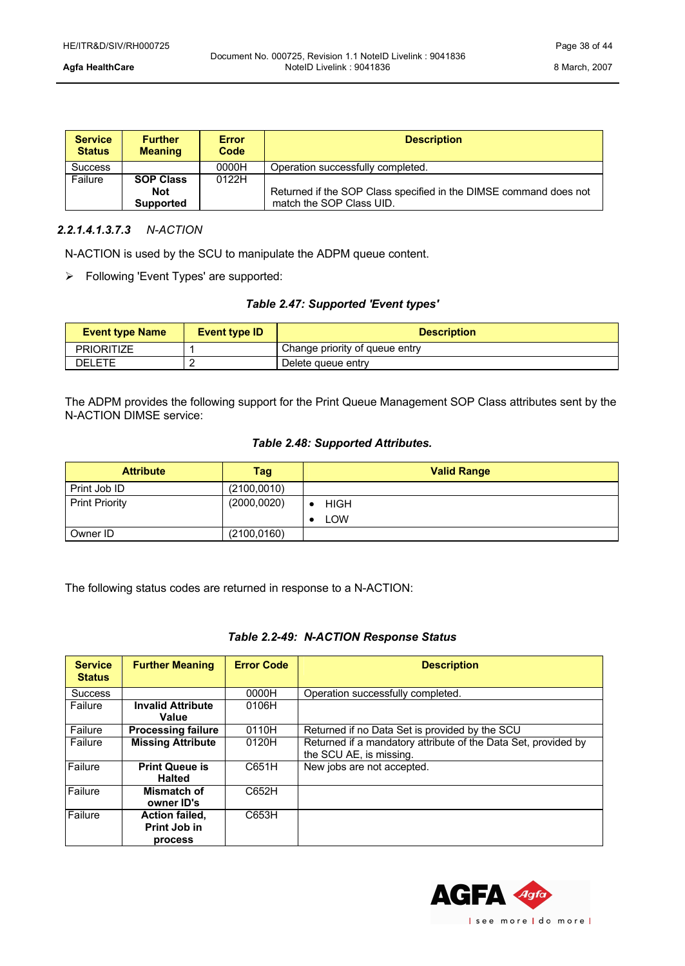| <b>Service</b><br><b>Status</b> | <b>Further</b><br><b>Meaning</b> | <b>Error</b><br>Code | <b>Description</b>                                                |  |
|---------------------------------|----------------------------------|----------------------|-------------------------------------------------------------------|--|
| <b>Success</b>                  |                                  | 0000H                | Operation successfully completed.                                 |  |
| Failure                         | <b>SOP Class</b>                 | 0122H                |                                                                   |  |
|                                 | <b>Not</b>                       |                      | Returned if the SOP Class specified in the DIMSE command does not |  |
|                                 | <b>Supported</b>                 |                      | match the SOP Class UID.                                          |  |

### *2.2.1.4.1.3.7.3 N-ACTION*

N-ACTION is used by the SCU to manipulate the ADPM queue content.

 $\triangleright$  Following 'Event Types' are supported:

### *Table 2.47: Supported 'Event types'*

| <b>Event type Name</b> | Event type <b>ID</b> | <b>Description</b>             |  |
|------------------------|----------------------|--------------------------------|--|
| <b>PRIORITIZE</b>      |                      | Change priority of queue entry |  |
| DELETE                 |                      | Delete queue entry             |  |

The ADPM provides the following support for the Print Queue Management SOP Class attributes sent by the N-ACTION DIMSE service:

### *Table 2.48: Supported Attributes.*

| <b>Attribute</b>      | Tag          | <b>Valid Range</b> |
|-----------------------|--------------|--------------------|
| Print Job ID          | (2100,0010)  |                    |
| <b>Print Priority</b> | (2000, 0020) | <b>HIGH</b>        |
|                       |              | <b>LOW</b>         |
| Owner ID              | (2100, 0160) |                    |

The following status codes are returned in response to a N-ACTION:

### *Table 2.2-49: N-ACTION Response Status*

| <b>Service</b><br><b>Status</b> | <b>Further Meaning</b>    | <b>Error Code</b> | <b>Description</b>                                             |
|---------------------------------|---------------------------|-------------------|----------------------------------------------------------------|
| <b>Success</b>                  |                           | 0000H             | Operation successfully completed.                              |
| Failure                         | <b>Invalid Attribute</b>  | 0106H             |                                                                |
|                                 | Value                     |                   |                                                                |
| Failure                         | <b>Processing failure</b> | 0110H             | Returned if no Data Set is provided by the SCU                 |
| Failure                         | <b>Missing Attribute</b>  | 0120H             | Returned if a mandatory attribute of the Data Set, provided by |
|                                 |                           |                   | the SCU AE, is missing.                                        |
| Failure                         | <b>Print Queue is</b>     | C651H             | New jobs are not accepted.                                     |
|                                 | <b>Halted</b>             |                   |                                                                |
| Failure                         | Mismatch of               | C652H             |                                                                |
|                                 | owner ID's                |                   |                                                                |
| Failure                         | <b>Action failed,</b>     | C653H             |                                                                |
|                                 | Print Job in              |                   |                                                                |
|                                 | process                   |                   |                                                                |

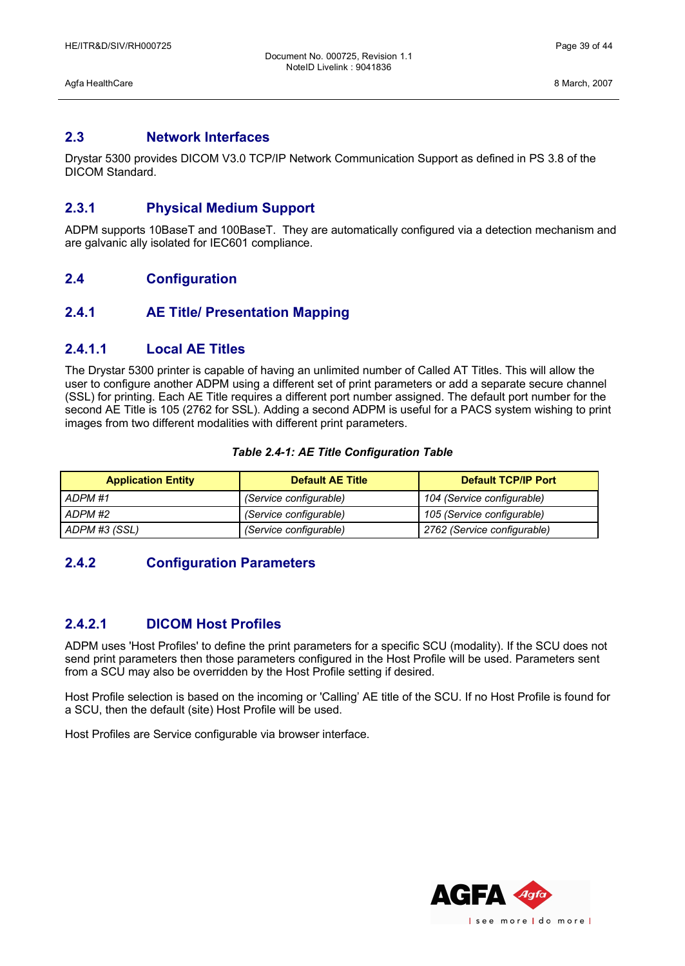### <span id="page-38-6"></span>**2.3 Network Interfaces**

Drystar 5300 provides DICOM V3.0 TCP/IP Network Communication Support as defined in PS 3.8 of the DICOM Standard.

### <span id="page-38-5"></span>**2.3.1 Physical Medium Support**

ADPM supports 10BaseT and 100BaseT. They are automatically configured via a detection mechanism and are galvanic ally isolated for IEC601 compliance.

### <span id="page-38-4"></span>**2.4 Configuration**

### <span id="page-38-3"></span>**2.4.1 AE Title/ Presentation Mapping**

### <span id="page-38-2"></span>**2.4.1.1 Local AE Titles**

The Drystar 5300 printer is capable of having an unlimited number of Called AT Titles. This will allow the user to configure another ADPM using a different set of print parameters or add a separate secure channel (SSL) for printing. Each AE Title requires a different port number assigned. The default port number for the second AE Title is 105 (2762 for SSL). Adding a second ADPM is useful for a PACS system wishing to print images from two different modalities with different print parameters.

### *Table 2.4-1: AE Title Configuration Table*

| <b>Application Entity</b> | <b>Default AE Title</b> | <b>Default TCP/IP Port</b>  |
|---------------------------|-------------------------|-----------------------------|
| ADPM #1                   | (Service configurable)  | 104 (Service configurable)  |
| ADPM #2                   | (Service configurable)  | 105 (Service configurable)  |
| ADPM #3 (SSL)             | (Service configurable)  | 2762 (Service configurable) |

### <span id="page-38-1"></span>**2.4.2 Configuration Parameters**

### <span id="page-38-0"></span>**2.4.2.1 DICOM Host Profiles**

ADPM uses 'Host Profiles' to define the print parameters for a specific SCU (modality). If the SCU does not send print parameters then those parameters configured in the Host Profile will be used. Parameters sent from a SCU may also be overridden by the Host Profile setting if desired.

Host Profile selection is based on the incoming or 'Calling' AE title of the SCU. If no Host Profile is found for a SCU, then the default (site) Host Profile will be used.

Host Profiles are Service configurable via browser interface.

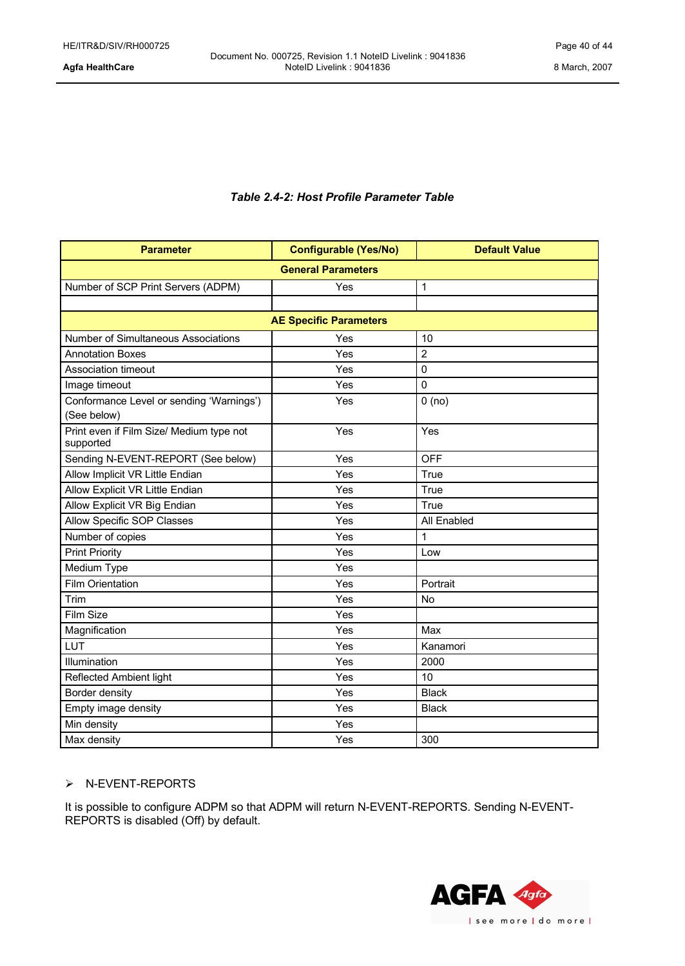### *Table 2.4-2: Host Profile Parameter Table*

| <b>Parameter</b>                                      | <b>Configurable (Yes/No)</b>  | <b>Default Value</b> |  |  |
|-------------------------------------------------------|-------------------------------|----------------------|--|--|
| <b>General Parameters</b>                             |                               |                      |  |  |
| Number of SCP Print Servers (ADPM)                    | Yes                           | 1                    |  |  |
|                                                       |                               |                      |  |  |
|                                                       | <b>AE Specific Parameters</b> |                      |  |  |
| Number of Simultaneous Associations                   | Yes                           | 10                   |  |  |
| <b>Annotation Boxes</b>                               | Yes                           | $\overline{2}$       |  |  |
| Association timeout                                   | Yes                           | 0                    |  |  |
| Image timeout                                         | Yes                           | $\mathbf 0$          |  |  |
| Conformance Level or sending 'Warnings')              | Yes                           | 0(no)                |  |  |
| (See below)                                           |                               |                      |  |  |
| Print even if Film Size/ Medium type not<br>supported | Yes                           | Yes                  |  |  |
| Sending N-EVENT-REPORT (See below)                    | Yes                           | <b>OFF</b>           |  |  |
| Allow Implicit VR Little Endian                       | Yes                           | True                 |  |  |
| Allow Explicit VR Little Endian                       | Yes                           | True                 |  |  |
| Allow Explicit VR Big Endian                          | Yes                           | True                 |  |  |
| Allow Specific SOP Classes                            | Yes                           | All Enabled          |  |  |
| Number of copies                                      | Yes                           | 1                    |  |  |
| <b>Print Priority</b>                                 | Yes                           | Low                  |  |  |
| Medium Type                                           | Yes                           |                      |  |  |
| <b>Film Orientation</b>                               | Yes                           | Portrait             |  |  |
| Trim                                                  | Yes                           | No                   |  |  |
| Film Size                                             | Yes                           |                      |  |  |
| Magnification                                         | Yes                           | Max                  |  |  |
| LUT                                                   | Yes                           | Kanamori             |  |  |
| Illumination                                          | Yes                           | 2000                 |  |  |
| Reflected Ambient light                               | Yes                           | 10                   |  |  |
| Border density                                        | Yes                           | <b>Black</b>         |  |  |
| Empty image density                                   | Yes                           | <b>Black</b>         |  |  |
| Min density                                           | Yes                           |                      |  |  |
| Max density                                           | Yes                           | 300                  |  |  |

### Ø N-EVENT-REPORTS

It is possible to configure ADPM so that ADPM will return N-EVENT-REPORTS. Sending N-EVENT-REPORTS is disabled (Off) by default.

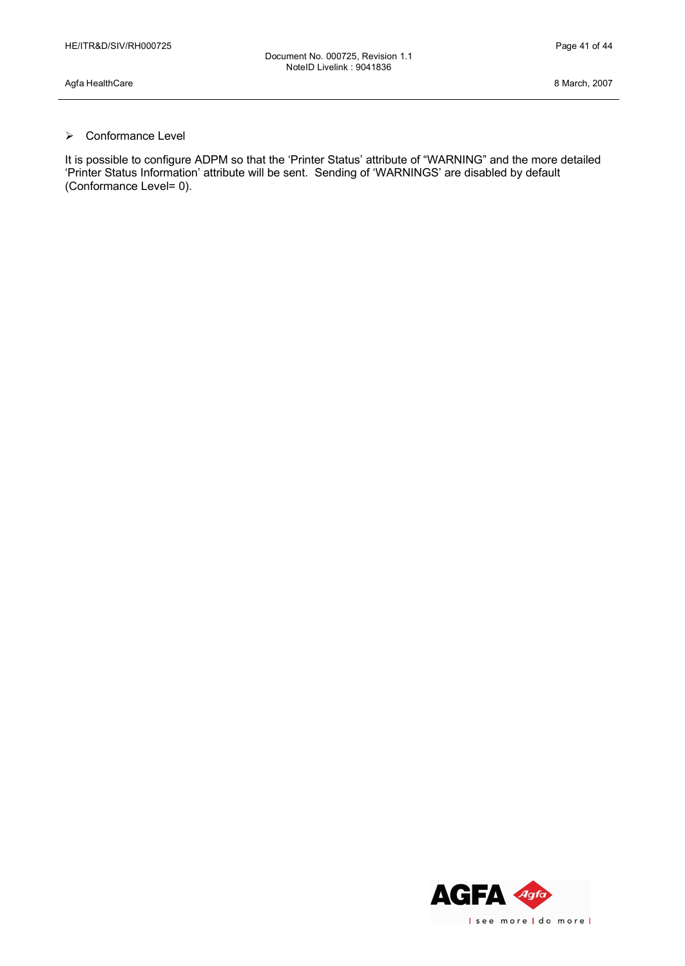### $\triangleright$  Conformance Level

It is possible to configure ADPM so that the 'Printer Status' attribute of "WARNING" and the more detailed 'Printer Status Information' attribute will be sent. Sending of 'WARNINGS' are disabled by default (Conformance Level= 0).

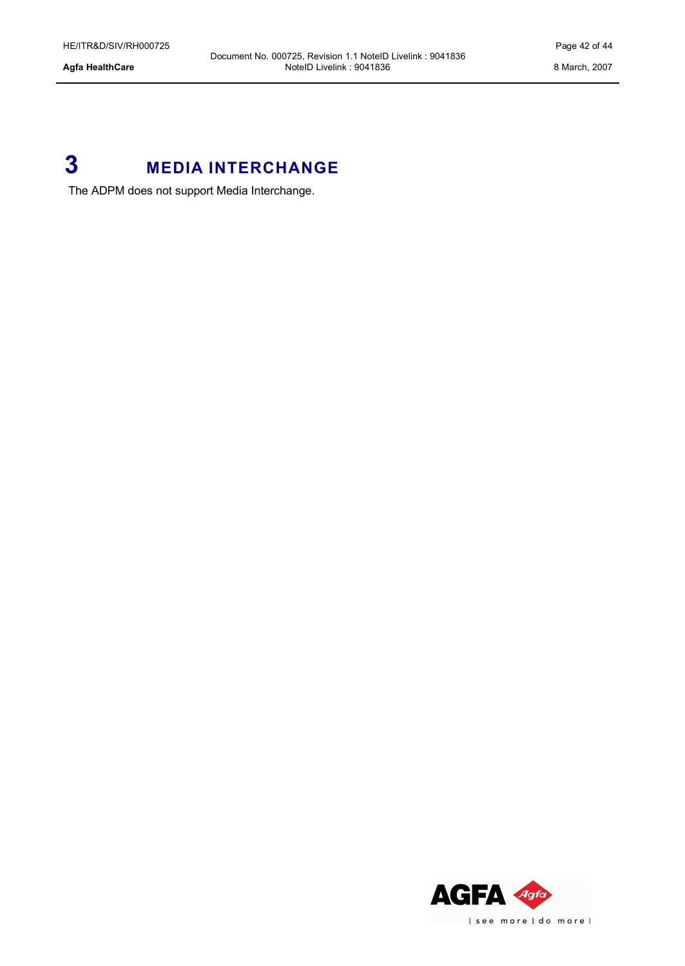# <span id="page-41-0"></span>**3 MEDIA INTERCHANGE**

The ADPM does not support Media Interchange.

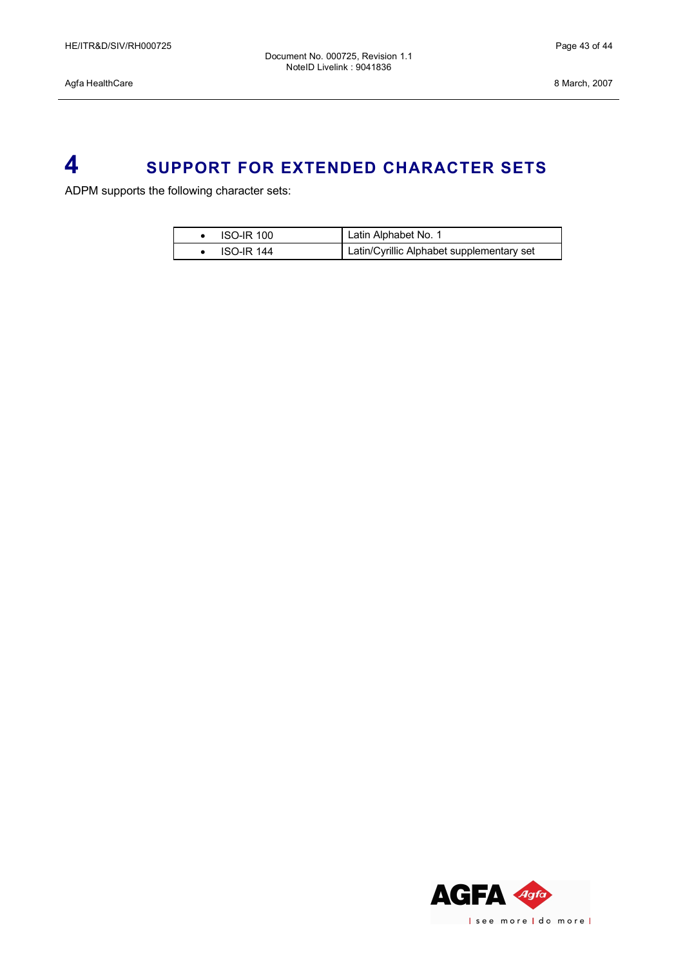# <span id="page-42-0"></span>**4 SUPPORT FOR EXTENDED CHARACTER SETS**

ADPM supports the following character sets:

| $ISO-IR$ 100      | Latin Alphabet No. 1                      |
|-------------------|-------------------------------------------|
| <b>ISO-IR 144</b> | Latin/Cyrillic Alphabet supplementary set |

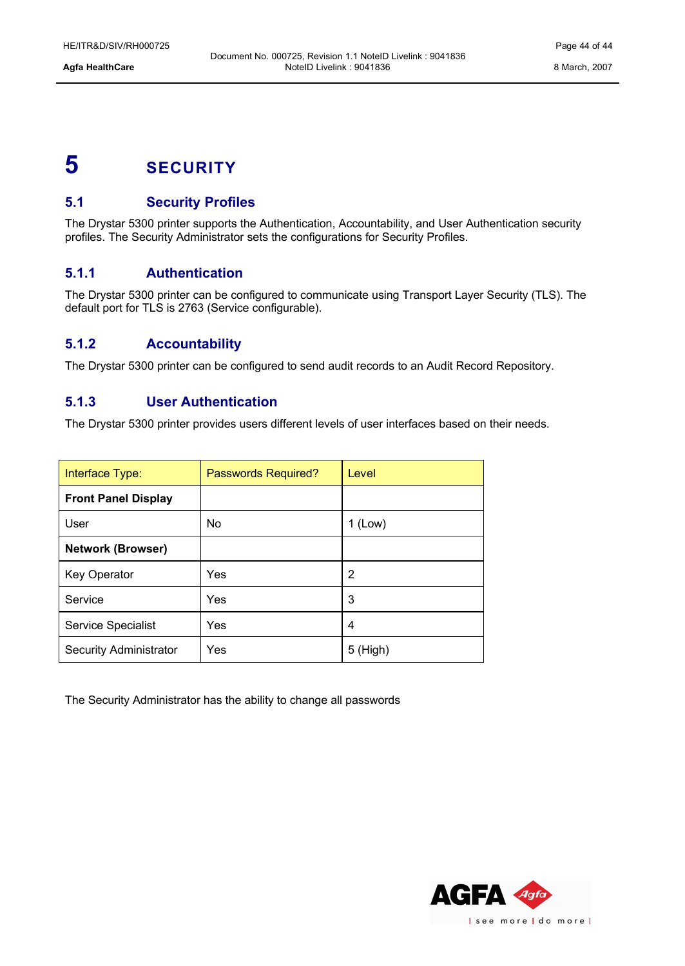# <span id="page-43-4"></span>**5 SECURITY**

### <span id="page-43-3"></span>**5.1 Security Profiles**

The Drystar 5300 printer supports the Authentication, Accountability, and User Authentication security profiles. The Security Administrator sets the configurations for Security Profiles.

### <span id="page-43-2"></span>**5.1.1 Authentication**

The Drystar 5300 printer can be configured to communicate using Transport Layer Security (TLS). The default port for TLS is 2763 (Service configurable).

### <span id="page-43-1"></span>**5.1.2 Accountability**

The Drystar 5300 printer can be configured to send audit records to an Audit Record Repository.

### <span id="page-43-0"></span>**5.1.3 User Authentication**

The Drystar 5300 printer provides users different levels of user interfaces based on their needs.

| Interface Type:               | Passwords Required? | Level      |
|-------------------------------|---------------------|------------|
| <b>Front Panel Display</b>    |                     |            |
| User                          | N <sub>o</sub>      | $1$ (Low)  |
| <b>Network (Browser)</b>      |                     |            |
| Key Operator                  | Yes                 | 2          |
| Service                       | Yes                 | 3          |
| Service Specialist            | Yes                 | 4          |
| <b>Security Administrator</b> | Yes                 | $5$ (High) |

The Security Administrator has the ability to change all passwords